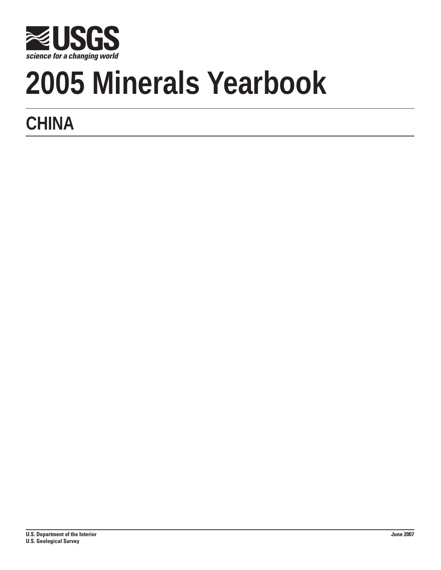

# **2005 Minerals Yearbook**

## **CHINA**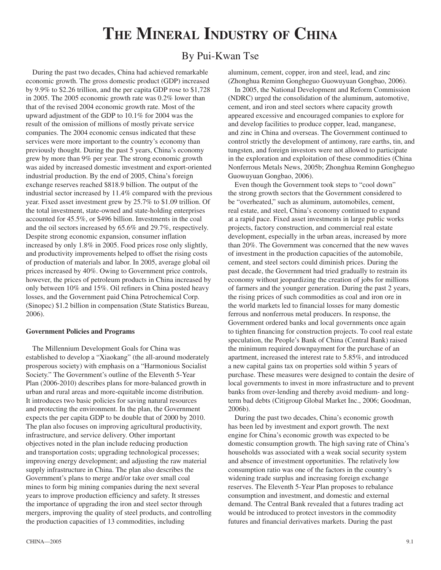### **The Mineral Industry of China**

#### By Pui-Kwan Tse

During the past two decades, China had achieved remarkable economic growth. The gross domestic product (GDP) increased by 9.9% to \$2.26 trillion, and the per capita GDP rose to \$1,728 in 2005. The 2005 economic growth rate was 0.2% lower than that of the revised 2004 economic growth rate. Most of the upward adjustment of the GDP to 10.1% for 2004 was the result of the omission of millions of mostly private service companies. The 2004 economic census indicated that these services were more important to the country's economy than previously thought. During the past 5 years, China's economy grew by more than 9% per year. The strong economic growth was aided by increased domestic investment and export-oriented industrial production. By the end of 2005, China's foreign exchange reserves reached \$818.9 billion. The output of the industrial sector increased by 11.4% compared with the previous year. Fixed asset investment grew by 25.7% to \$1.09 trillion. Of the total investment, state-owned and state-holding enterprises accounted for 45.5%, or \$496 billion. Investments in the coal and the oil sectors increased by 65.6% and 29.7%, respectively. Despite strong economic expansion, consumer inflation increased by only 1.8% in 2005. Food prices rose only slightly, and productivity improvements helped to offset the rising costs of production of materials and labor. In 2005, average global oil prices increased by 40%. Owing to Government price controls, however, the prices of petroleum products in China increased by only between 10% and 15%. Oil refiners in China posted heavy losses, and the Government paid China Petrochemical Corp. (Sinopec) \$1.2 billion in compensation (State Statistics Bureau, 2006).

#### **Government Policies and Programs**

The Millennium Development Goals for China was established to develop a "Xiaokang" (the all-around moderately prosperous society) with emphasis on a "Harmonious Socialist Society." The Government's outline of the Eleventh 5-Year Plan (2006-2010) describes plans for more-balanced growth in urban and rural areas and more-equitable income distribution. It introduces two basic policies for saving natural resources and protecting the environment. In the plan, the Government expects the per capita GDP to be double that of 2000 by 2010. The plan also focuses on improving agricultural productivity, infrastructure, and service delivery. Other important objectives noted in the plan include reducing production and transportation costs; upgrading technological processes; improving energy development; and adjusting the raw material supply infrastructure in China. The plan also describes the Government's plans to merge and/or take over small coal mines to form big mining companies during the next several years to improve production efficiency and safety. It stresses the importance of upgrading the iron and steel sector through mergers, improving the quality of steel products, and controlling the production capacities of 13 commodities, including

aluminum, cement, copper, iron and steel, lead, and zinc (Zhonghua Reminn Gongheguo Guowuyuan Gongbao, 2006).

In 2005, the National Development and Reform Commission (NDRC) urged the consolidation of the aluminum, automotive, cement, and iron and steel sectors where capacity growth appeared excessive and encouraged companies to explore for and develop facilities to produce copper, lead, manganese, and zinc in China and overseas. The Government continued to control strictly the development of antimony, rare earths, tin, and tungsten, and foreign investors were not allowed to participate in the exploration and exploitation of these commodities (China Nonferrous Metals News, 2005b; Zhonghua Reminn Gongheguo Guowuyuan Gongbao, 2006).

Even though the Government took steps to "cool down" the strong growth sectors that the Government considered to be "overheated," such as aluminum, automobiles, cement, real estate, and steel, China's economy continued to expand at a rapid pace. Fixed asset investments in large public works projects, factory construction, and commercial real estate development, especially in the urban areas, increased by more than 20%. The Government was concerned that the new waves of investment in the production capacities of the automobile, cement, and steel sectors could diminish prices. During the past decade, the Government had tried gradually to restrain its economy without jeopardizing the creation of jobs for millions of farmers and the younger generation. During the past 2 years, the rising prices of such commodities as coal and iron ore in the world markets led to financial losses for many domestic ferrous and nonferrous metal producers. In response, the Government ordered banks and local governments once again to tighten financing for construction projects. To cool real estate speculation, the People's Bank of China (Central Bank) raised the minimum required downpayment for the purchase of an apartment, increased the interest rate to 5.85%, and introduced a new capital gains tax on properties sold within 5 years of purchase. These measures were designed to contain the desire of local governments to invest in more infrastructure and to prevent banks from over-lending and thereby avoid medium- and longterm bad debts (Citigroup Global Market Inc., 2006; Goodman, 2006b).

During the past two decades, China's economic growth has been led by investment and export growth. The next engine for China's economic growth was expected to be domestic consumption growth. The high saving rate of China's households was associated with a weak social security system and absence of investment opportunities. The relatively low consumption ratio was one of the factors in the country's widening trade surplus and increasing foreign exchange reserves. The Eleventh 5-Year Plan proposes to rebalance consumption and investment, and domestic and external demand. The Central Bank revealed that a futures trading act would be introduced to protect investors in the commodity futures and financial derivatives markets. During the past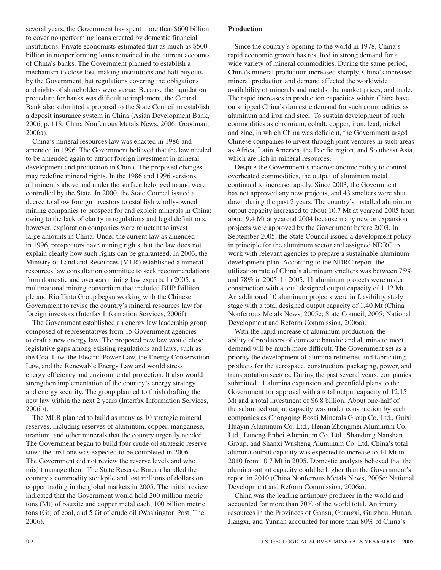several years, the Government has spent more than \$600 billion to cover nonperforming loans created by domestic financial institutions. Private economists estimated that as much as \$500 billion in nonperforming loans remained in the current accounts of China's banks. The Government planned to establish a mechanism to close loss-making institutions and halt buyouts by the Government, but regulations covering the obligations and rights of shareholders were vague. Because the liquidation procedure for banks was difficult to implement, the Central Bank also submitted a proposal to the State Council to establish a deposit insurance system in China (Asian Development Bank, 2006, p. 118; China Nonferrous Metals News, 2006; Goodman, 2006a).

China's mineral resources law was enacted in 1986 and amended in 1996. The Government believed that the law needed to be amended again to attract foreign investment in mineral development and production in China. The proposed changes may redefine mineral rights. In the 1986 and 1996 versions, all minerals above and under the surface belonged to and were controlled by the State. In 2000, the State Council issued a decree to allow foreign investors to establish wholly-owned mining companies to prospect for and exploit minerals in China; owing to the lack of clarity in regulations and legal definitions, however, exploration companies were reluctant to invest large amounts in China. Under the current law as amended in 1996, prospectors have mining rights, but the law does not explain clearly how such rights can be guaranteed. In 2003, the Ministry of Land and Resources (MLR) established a mineralresources law consultation committee to seek recommendations from domestic and overseas mining law experts. In 2005, a multinational mining consortium that included BHP Billiton plc and Rio Tinto Group began working with the Chinese Government to revise the country's mineral resources law for foreign investors (Interfax Information Services, 2006f).

The Government established an energy law leadership group composed of representatives from 15 Government agencies to draft a new energy law. The proposed new law would close legislative gaps among existing regulations and laws, such as the Coal Law, the Electric Power Law, the Energy Conservation Law, and the Renewable Energy Law and would stress energy efficiency and environmental protection. It also would strengthen implementation of the country's energy strategy and energy security. The group planned to finish drafting the new law within the next 2 years (Interfax Information Services, 2006b).

The MLR planned to build as many as 10 strategic mineral reserves, including reserves of aluminum, copper, manganese, uranium, and other minerals that the country urgently needed. The Government began to build four crude oil strategic reserve sites; the first one was expected to be completed in 2006. The Government did not review the reserve levels and who might manage them. The State Reserve Bureau handled the country's commodity stockpile and lost millions of dollars on copper trading in the global markets in 2005. The initial review indicated that the Government would hold 200 million metric tons (Mt) of bauxite and copper metal each, 100 billion metric tons (Gt) of coal, and 5 Gt of crude oil (Washington Post, The, 2006).

#### **Production**

Since the country's opening to the world in 1978, China's rapid economic growth has resulted in strong demand for a wide variety of mineral commodities. During the same period, China's mineral production increased sharply. China's increased mineral production and demand affected the worldwide availability of minerals and metals, the market prices, and trade. The rapid increases in production capacities within China have outstripped China's domestic demand for such commodities as aluminum and iron and steel. To sustain development of such commodities as chromium, cobalt, copper, iron, lead, nickel and zinc, in which China was deficient, the Government urged Chinese companies to invest through joint ventures in such areas as Africa, Latin America, the Pacific region, and Southeast Asia, which are rich in mineral resources.

Despite the Government's macroeconomic policy to control overheated commodities, the output of aluminum metal continued to increase rapidly. Since 2003, the Government has not approved any new projects, and 43 smelters were shut down during the past 2 years. The country's installed aluminum output capacity increased to about 10.7 Mt at yearend 2005 from about 9.4 Mt at yearend 2004 because many new or expansion projects were approved by the Government before 2003. In September 2005, the State Council issued a development policy in principle for the aluminum sector and assigned NDRC to work with relevant agencies to prepare a sustainable aluminum development plan. According to the NDRC report, the utilization rate of China's aluminum smelters was between 75% and 78% in 2005. In 2005, 11 aluminum projects were under construction with a total designed output capacity of 1.12 Mt. An additional 10 aluminum projects were in feasibility study stage with a total designed output capacity of 1.40 Mt (China Nonferrous Metals News, 2005c; State Council, 2005; National Development and Reform Commission, 2006a).

With the rapid increase of aluminum production, the ability of producers of domestic bauxite and alumina to meet demand will be much more difficult. The Government set as a priority the development of alumina refineries and fabricating products for the aerospace, construction, packaging, power, and transportation sectors. During the past several years, companies submitted 11 alumina expansion and greenfield plans to the Government for approval with a total output capacity of 12.15 Mt and a total investment of \$6.8 billion. About one-half of the submitted output capacity was under construction by such companies as Chongqing Bosai Minerals Group Co. Ltd., Guixi Huayin Aluminum Co. Ltd., Henan Zhongmei Aluminum Co. Ltd., Luneng Jinbei Aluminum Co. Ltd., Shandong Nanshan Group, and Shanxi Wusheng Aluminum Co. Ltd. China's total alumina output capacity was expected to increase to 14 Mt in 2010 from 10.7 Mt in 2005. Domestic analysts believed that the alumina output capacity could be higher than the Government's report in 2010 (China Nonferrous Metals News, 2005c; National Development and Reform Commission, 2006a).

China was the leading antimony producer in the world and accounted for more than 70% of the world total. Antimony resources in the Provinces of Gansu, Guangxi, Guizhou, Hunan, Jiangxi, and Yunnan accounted for more than 80% of China's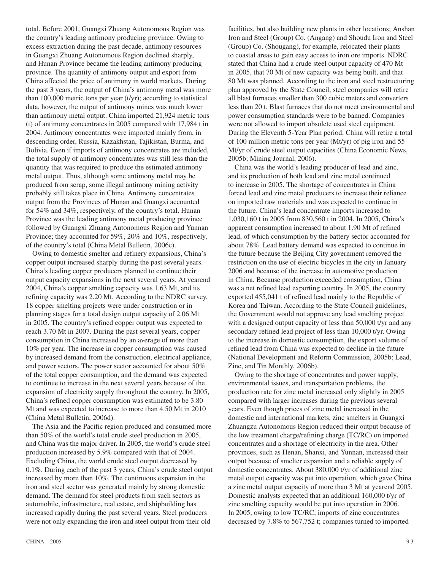total. Before 2001, Guangxi Zhuang Autonomous Region was the country's leading antimony producing province. Owing to excess extraction during the past decade, antimony resources in Guangxi Zhuang Autonomous Region declined sharply, and Hunan Province became the leading antimony producing province. The quantity of antimony output and export from China affected the price of antimony in world markets. During the past 3 years, the output of China's antimony metal was more than 100,000 metric tons per year  $(t/\gamma)$ ; according to statistical data, however, the output of antimony mines was much lower than antimony metal output. China imported 21,924 metric tons (t) of antimony concentrates in 2005 compared with 17,984 t in 2004. Antimony concentrates were imported mainly from, in descending order, Russia, Kazakhstan, Tajikistan, Burma, and Bolivia. Even if imports of antimony concentrates are included, the total supply of antimony concentrates was still less than the quantity that was required to produce the estimated antimony metal output. Thus, although some antimony metal may be produced from scrap, some illegal antimony mining activity probably still takes place in China. Antimony concentrates output from the Provinces of Hunan and Guangxi accounted for 54% and 34%, respectively, of the country's total. Hunan Province was the leading antimony metal producing province followed by Guangxi Zhuang Autonomous Region and Yunnan Province; they accounted for 59%, 20% and 10%, respectively, of the country's total (China Metal Bulletin, 2006c).

Owing to domestic smelter and refinery expansions, China's copper output increased sharply during the past several years. China's leading copper producers planned to continue their output capacity expansions in the next several years. At yearend 2004, China's copper smelting capacity was 1.63 Mt, and its refining capacity was 2.20 Mt. According to the NDRC survey, 18 copper smelting projects were under construction or in planning stages for a total design output capacity of 2.06 Mt in 2005. The country's refined copper output was expected to reach 3.70 Mt in 2007. During the past several years, copper consumption in China increased by an average of more than 10% per year. The increase in copper consumption was caused by increased demand from the construction, electrical appliance, and power sectors. The power sector accounted for about 50% of the total copper consumption, and the demand was expected to continue to increase in the next several years because of the expansion of electricity supply throughout the country. In 2005, China's refined copper consumption was estimated to be 3.80 Mt and was expected to increase to more than 4.50 Mt in 2010 (China Metal Bulletin, 2006d).

The Asia and the Pacific region produced and consumed more than 50% of the world's total crude steel production in 2005, and China was the major driver. In 2005, the world's crude steel production increased by 5.9% compared with that of 2004. Excluding China, the world crude steel output decreased by 0.1%. During each of the past 3 years, China's crude steel output increased by more than 10%. The continuous expansion in the iron and steel sector was generated mainly by strong domestic demand. The demand for steel products from such sectors as automobile, infrastructure, real estate, and shipbuilding has increased rapidly during the past several years. Steel producers were not only expanding the iron and steel output from their old

 $CHINA - 2005$  9.

facilities, but also building new plants in other locations; Anshan Iron and Steel (Group) Co. (Angang) and Shoudu Iron and Steel (Group) Co. (Shougang), for example, relocated their plants to coastal areas to gain easy access to iron ore imports. NDRC stated that China had a crude steel output capacity of 470 Mt in 2005, that 70 Mt of new capacity was being built, and that 80 Mt was planned. According to the iron and steel restructuring plan approved by the State Council, steel companies will retire all blast furnaces smaller than 300 cubic meters and converters less than 20 t. Blast furnaces that do not meet environmental and power consumption standards were to be banned. Companies were not allowed to import obsolete used steel equipment. During the Eleventh 5-Year Plan period, China will retire a total of 100 million metric tons per year (Mt/yr) of pig iron and 55 Mt/yr of crude steel output capacities (China Economic News, 2005b; Mining Journal, 2006).

China was the world's leading producer of lead and zinc, and its production of both lead and zinc metal continued to increase in 2005. The shortage of concentrates in China forced lead and zinc metal producers to increase their reliance on imported raw materials and was expected to continue in the future. China's lead concentrate imports increased to 1,030,160 t in 2005 from 830,560 t in 2004. In 2005, China's apparent consumption increased to about 1.90 Mt of refined lead, of which consumption by the battery sector accounted for about 78%. Lead battery demand was expected to continue in the future because the Beijing City government removed the restriction on the use of electric bicycles in the city in January 2006 and because of the increase in automotive production in China. Because production exceeded consumption, China was a net refined lead exporting country. In 2005, the country exported 455,041 t of refined lead mainly to the Republic of Korea and Taiwan. According to the State Council guidelines, the Government would not approve any lead smelting project with a designed output capacity of less than 50,000 t/yr and any secondary refined lead project of less than 10,000 t/yr. Owing to the increase in domestic consumption, the export volume of refined lead from China was expected to decline in the future (National Development and Reform Commission, 2005b; Lead, Zinc, and Tin Monthly, 2006b).

Owing to the shortage of concentrates and power supply, environmental issues, and transportation problems, the production rate for zinc metal increased only slightly in 2005 compared with larger increases during the previous several years. Even though prices of zinc metal increased in the domestic and international markets, zinc smelters in Guangxi Zhuangzu Autonomous Region reduced their output because of the low treatment charge/refining charge (TC/RC) on imported concentrates and a shortage of electricity in the area. Other provinces, such as Henan, Shanxi, and Yunnan, increased their output because of smelter expansion and a reliable supply of domestic concentrates. About 380,000 t/yr of additional zinc metal output capacity was put into operation, which gave China a zinc metal output capacity of more than 3 Mt at yearend 2005. Domestic analysts expected that an additional 160,000 t/yr of zinc smelting capacity would be put into operation in 2006. In 2005, owing to low TC/RC, imports of zinc concentrates decreased by 7.8% to 567,752 t; companies turned to imported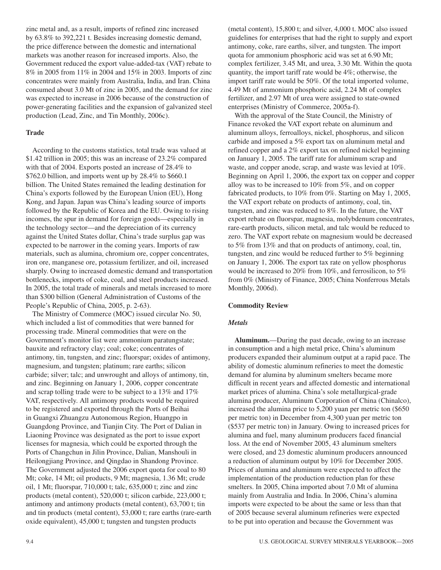zinc metal and, as a result, imports of refined zinc increased by 63.8% to 392,221 t. Besides increasing domestic demand, the price difference between the domestic and international markets was another reason for increased imports. Also, the Government reduced the export value-added-tax (VAT) rebate to 8% in 2005 from 11% in 2004 and 15% in 2003. Imports of zinc concentrates were mainly from Australia, India, and Iran. China consumed about 3.0 Mt of zinc in 2005, and the demand for zinc was expected to increase in 2006 because of the construction of power-generating facilities and the expansion of galvanized steel production (Lead, Zinc, and Tin Monthly, 2006c).

#### **Trade**

According to the customs statistics, total trade was valued at \$1.42 trillion in 2005; this was an increase of 23.2% compared with that of 2004. Exports posted an increase of 28.4% to \$762.0 billion, and imports went up by 28.4% to \$660.1 billion. The United States remained the leading destination for China's exports followed by the European Union (EU), Hong Kong, and Japan. Japan was China's leading source of imports followed by the Republic of Korea and the EU. Owing to rising incomes, the spur in demand for foreign goods—especially in the technology sector—and the depreciation of its currency against the United States dollar, China's trade surplus gap was expected to be narrower in the coming years. Imports of raw materials, such as alumina, chromium ore, copper concentrates, iron ore, manganese ore, potassium fertilizer, and oil, increased sharply. Owing to increased domestic demand and transportation bottlenecks, imports of coke, coal, and steel products increased. In 2005, the total trade of minerals and metals increased to more than \$300 billion (General Administration of Customs of the People's Republic of China, 2005, p. 2-63).

The Ministry of Commerce (MOC) issued circular No. 50, which included a list of commodities that were banned for processing trade. Mineral commodities that were on the Government's monitor list were ammonium paratungstate; bauxite and refractory clay; coal; coke; concentrates of antimony, tin, tungsten, and zinc; fluorspar; oxides of antimony, magnesium, and tungsten; platinum; rare earths; silicon carbide; silver; talc; and unwrought and alloys of antimony, tin, and zinc. Beginning on January 1, 2006, copper concentrate and scrap tolling trade were to be subject to a 13% and 17% VAT, respectively. All antimony products would be required to be registered and exported through the Ports of Beihai in Guangxi Zhuangzu Autonomous Region, Huangpo in Guangdong Province, and Tianjin City. The Port of Dalian in Liaoning Province was designated as the port to issue export licenses for magnesia, which could be exported through the Ports of Changchun in Jilin Province, Dalian, Manshouli in Heilongjiang Province, and Qingdao in Shandong Province. The Government adjusted the 2006 export quota for coal to 80 Mt; coke, 14 Mt; oil products, 9 Mt; magnesia, 1.36 Mt; crude oil, 1 Mt; fluorspar, 710,000 t; talc, 635,000 t; zinc and zinc products (metal content), 520,000 t; silicon carbide, 223,000 t; antimony and antimony products (metal content), 63,700 t; tin and tin products (metal content), 53,000 t; rare earths (rare-earth oxide equivalent), 45,000 t; tungsten and tungsten products

(metal content), 15,800 t; and silver, 4,000 t. MOC also issued guidelines for enterprises that had the right to supply and export antimony, coke, rare earths, silver, and tungsten. The import quota for ammonium phosphoric acid was set at 6.90 Mt; complex fertilizer, 3.45 Mt, and urea, 3.30 Mt. Within the quota quantity, the import tariff rate would be 4%; otherwise, the import tariff rate would be 50%. Of the total imported volume, 4.49 Mt of ammonium phosphoric acid, 2.24 Mt of complex fertilizer, and 2.97 Mt of urea were assigned to state-owned enterprises (Ministry of Commerce, 2005a-f).

With the approval of the State Council, the Ministry of Finance revoked the VAT export rebate on aluminum and aluminum alloys, ferroalloys, nickel, phosphorus, and silicon carbide and imposed a 5% export tax on aluminum metal and refined copper and a 2% export tax on refined nickel beginning on January 1, 2005. The tariff rate for aluminum scrap and waste, and copper anode, scrap, and waste was levied at 10%. Beginning on April 1, 2006, the export tax on copper and copper alloy was to be increased to 10% from 5%, and on copper fabricated products, to 10% from 0%. Starting on May 1, 2005, the VAT export rebate on products of antimony, coal, tin, tungsten, and zinc was reduced to 8%. In the future, the VAT export rebate on fluorspar, magnesia, molybdenum concentrates, rare-earth products, silicon metal, and talc would be reduced to zero. The VAT export rebate on magnesium would be decreased to 5% from 13% and that on products of antimony, coal, tin, tungsten, and zinc would be reduced further to 5% beginning on January 1, 2006. The export tax rate on yellow phosphorus would be increased to 20% from 10%, and ferrosilicon, to 5% from 0% (Ministry of Finance, 2005; China Nonferrous Metals Monthly, 2006d).

#### **Commodity Review**

#### *Metals*

**Aluminum.**—During the past decade, owing to an increase in consumption and a high metal price, China's aluminum producers expanded their aluminum output at a rapid pace. The ability of domestic aluminum refineries to meet the domestic demand for alumina by aluminum smelters became more difficult in recent years and affected domestic and international market prices of alumina. China's sole metallurgical-grade alumina producer, Aluminum Corporation of China (Chinalco), increased the alumina price to 5,200 yuan per metric ton (\$650 per metric ton) in December from 4,300 yuan per metric ton (\$537 per metric ton) in January. Owing to increased prices for alumina and fuel, many aluminum producers faced financial loss. At the end of November 2005, 43 aluminum smelters were closed, and 23 domestic aluminum producers announced a reduction of aluminum output by 10% for December 2005. Prices of alumina and aluminum were expected to affect the implementation of the production reduction plan for these smelters. In 2005, China imported about 7.0 Mt of alumina mainly from Australia and India. In 2006, China's alumina imports were expected to be about the same or less than that of 2005 because several aluminum refineries were expected to be put into operation and because the Government was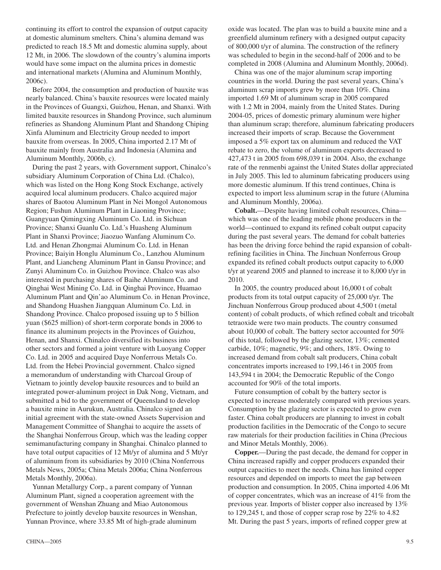continuing its effort to control the expansion of output capacity at domestic aluminum smelters. China's alumina demand was predicted to reach 18.5 Mt and domestic alumina supply, about 12 Mt, in 2006. The slowdown of the country's alumina imports would have some impact on the alumina prices in domestic and international markets (Alumina and Aluminum Monthly, 2006c).

Before 2004, the consumption and production of bauxite was nearly balanced. China's bauxite resources were located mainly in the Provinces of Guangxi, Guizhou, Henan, and Shanxi. With limited bauxite resources in Shandong Province, such aluminum refineries as Shandong Aluminum Plant and Shandong Chiping Xinfa Aluminum and Electricity Group needed to import bauxite from overseas. In 2005, China imported 2.17 Mt of bauxite mainly from Australia and Indonesia (Alumina and Aluminum Monthly, 2006b, c).

During the past 2 years, with Government support, Chinalco's subsidiary Aluminum Corporation of China Ltd. (Chalco), which was listed on the Hong Kong Stock Exchange, actively acquired local aluminum producers. Chalco acquired major shares of Baotou Aluminum Plant in Nei Mongol Autonomous Region; Fushun Aluminum Plant in Liaoning Province; Guangyuan Qimingxing Aluminum Co. Ltd. in Sichuan Province; Shanxi Guanlu Co. Ltd.'s Huasheng Aluminum Plant in Shanxi Province; Jiaozuo Wanfang Aluminum Co. Ltd. and Henan Zhongmai Aluminum Co. Ltd. in Henan Province; Baiyin Honglu Aluminum Co., Lanzhou Aluminum Plant, and Liancheng Aluminum Plant in Gansu Province; and Zunyi Aluminum Co. in Guizhou Province. Chalco was also interested in purchasing shares of Baihe Aluminum Co. and Qinghai West Mining Co. Ltd. in Qinghai Province, Huamao Aluminum Plant and Qin'ao Aluminum Co. in Henan Province, and Shandong Huashen Jiangquan Aluminum Co. Ltd. in Shandong Province. Chalco proposed issuing up to 5 billion yuan (\$625 million) of short-term corporate bonds in 2006 to finance its aluminum projects in the Provinces of Guizhou, Henan, and Shanxi. Chinalco diversified its business into other sectors and formed a joint venture with Luoyang Copper Co. Ltd. in 2005 and acquired Daye Nonferrous Metals Co. Ltd. from the Hebei Provincial government. Chalco signed a memorandum of understanding with Charcoal Group of Vietnam to jointly develop bauxite resources and to build an integrated power-aluminum project in Dak Nong, Vietnam, and submitted a bid to the government of Queensland to develop a bauxite mine in Aurukun, Australia. Chinalco signed an initial agreement with the state-owned Assets Supervision and Management Committee of Shanghai to acquire the assets of the Shanghai Nonferrous Group, which was the leading copper semimanufacturing company in Shanghai. Chinalco planned to have total output capacities of 12 Mt/yr of alumina and 5 Mt/yr of aluminum from its subsidiaries by 2010 (China Nonferrous Metals News, 2005a; China Metals 2006a; China Nonferrous Metals Monthly, 2006a).

Yunnan Metallurgy Corp., a parent company of Yunnan Aluminum Plant, signed a cooperation agreement with the government of Wenshan Zhuang and Miao Autonomous Prefecture to jointly develop bauxite resources in Wenshan, Yunnan Province, where 33.85 Mt of high-grade aluminum

 $CHINA - 2005$  9.

oxide was located. The plan was to build a bauxite mine and a greenfield aluminum refinery with a designed output capacity of 800,000 t/yr of alumina. The construction of the refinery was scheduled to begin in the second-half of 2006 and to be completed in 2008 (Alumina and Aluminum Monthly, 2006d).

China was one of the major aluminum scrap importing countries in the world. During the past several years, China's aluminum scrap imports grew by more than 10%. China imported 1.69 Mt of aluminum scrap in 2005 compared with 1.2 Mt in 2004, mainly from the United States. During 2004-05, prices of domestic primary aluminum were higher than aluminum scrap; therefore, aluminum fabricating producers increased their imports of scrap. Because the Government imposed a 5% export tax on aluminum and reduced the VAT rebate to zero, the volume of aluminum exports decreased to 427,473 t in 2005 from 698,039 t in 2004. Also, the exchange rate of the renmenbi against the United States dollar appreciated in July 2005. This led to aluminum fabricating producers using more domestic aluminum. If this trend continues, China is expected to import less aluminum scrap in the future (Alumina and Aluminum Monthly, 2006a).

**Cobalt.**—Despite having limited cobalt resources, China which was one of the leading mobile phone producers in the world—continued to expand its refined cobalt output capacity during the past several years. The demand for cobalt batteries has been the driving force behind the rapid expansion of cobaltrefining facilities in China. The Jinchuan Nonferrous Group expanded its refined cobalt products output capacity to 6,000 t/yr at yearend 2005 and planned to increase it to 8,000 t/yr in 2010.

In 2005, the country produced about 16,000 t of cobalt products from its total output capacity of 25,000 t/yr. The Jinchuan Nonferrous Group produced about 4,500 t (metal content) of cobalt products, of which refined cobalt and tricobalt tetraoxide were two main products. The country consumed about 10,000 of cobalt. The battery sector accounted for 50% of this total, followed by the glazing sector, 13%; cemented carbide, 10%; magnetic, 9%; and others, 18%. Owing to increased demand from cobalt salt producers, China cobalt concentrates imports increased to 199,146 t in 2005 from 143,594 t in 2004; the Democratic Republic of the Congo accounted for 90% of the total imports.

Future consumption of cobalt by the battery sector is expected to increase moderately compared with previous years. Consumption by the glazing sector is expected to grow even faster. China cobalt producers are planning to invest in cobalt production facilities in the Democratic of the Congo to secure raw materials for their production facilities in China (Precious and Minor Metals Monthly, 2006).

**Copper.**—During the past decade, the demand for copper in China increased rapidly and copper producers expanded their output capacities to meet the needs. China has limited copper resources and depended on imports to meet the gap between production and consumption. In 2005, China imported 4.06 Mt of copper concentrates, which was an increase of 41% from the previous year. Imports of blister copper also increased by 13% to 129,245 t, and those of copper scrap rose by 22% to 4.82 Mt. During the past 5 years, imports of refined copper grew at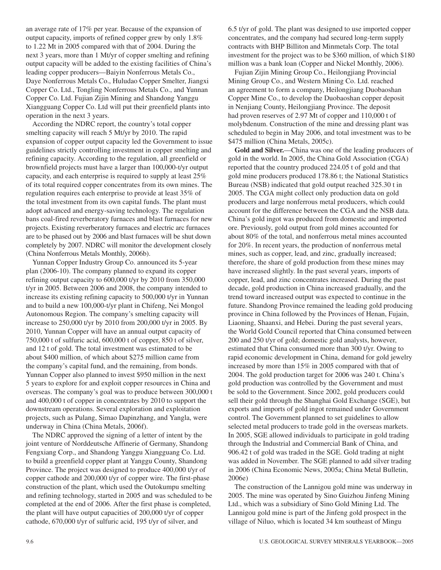an average rate of 17% per year. Because of the expansion of output capacity, imports of refined copper grew by only 1.8% to 1.22 Mt in 2005 compared with that of 2004. During the next 3 years, more than 1 Mt/yr of copper smelting and refining output capacity will be added to the existing facilities of China's leading copper producers—Baiyin Nonferrous Metals Co., Daye Nonferrous Metals Co., Huludao Copper Smelter, Jiangxi Copper Co. Ltd., Tongling Nonferrous Metals Co., and Yunnan Copper Co. Ltd. Fujian Zijin Mining and Shandong Yanggu Xiangguang Copper Co. Ltd will put their greenfield plants into operation in the next 3 years.

According the NDRC report, the country's total copper smelting capacity will reach 5 Mt/yr by 2010. The rapid expansion of copper output capacity led the Government to issue guidelines strictly controlling investment in copper smelting and refining capacity. According to the regulation, all greenfield or brownfield projects must have a larger than 100,000-t/yr output capacity, and each enterprise is required to supply at least 25% of its total required copper concentrates from its own mines. The regulation requires each enterprise to provide at least 35% of the total investment from its own capital funds. The plant must adopt advanced and energy-saving technology. The regulation bans coal-fired reverberatory furnaces and blast furnaces for new projects. Existing reverberatory furnaces and electric arc furnaces are to be phased out by 2006 and blast furnaces will be shut down completely by 2007. NDRC will monitor the development closely (China Nonferrous Metals Monthly, 2006b).

Yunnan Copper Industry Group Co. announced its 5-year plan (2006-10). The company planned to expand its copper refining output capacity to 600,000 t/yr by 2010 from 350,000 t/yr in 2005. Between 2006 and 2008, the company intended to increase its existing refining capacity to 500,000 t/yr in Yunnan and to build a new 100,000-t/yr plant in Chifeng, Nei Mongol Autonomous Region. The company's smelting capacity will increase to 250,000 t/yr by 2010 from 200,000 t/yr in 2005. By 2010, Yunnan Copper will have an annual output capacity of 750,000 t of sulfuric acid, 600,000 t of copper, 850 t of silver, and 12 t of gold. The total investment was estimated to be about \$400 million, of which about \$275 million came from the company's capital fund, and the remaining, from bonds. Yunnan Copper also planned to invest \$950 million in the next 5 years to explore for and exploit copper resources in China and overseas. The company's goal was to produce between 300,000 t and 400,000 t of copper in concentrates by 2010 to support the downstream operations. Several exploration and exploitation projects, such as Pulang, Simao Dapinzhang, and Yangla, were underway in China (China Metals, 2006f).

The NDRC approved the signing of a letter of intent by the joint venture of Norddeutsche Affinerie of Germany, Shandong Fengxiang Corp., and Shandong Yanggu Xiangguang Co. Ltd. to build a greenfield copper plant at Yanggu County, Shandong Province. The project was designed to produce 400,000 t/yr of copper cathode and 200,000 t/yr of copper wire. The first-phase construction of the plant, which used the Outokumpu smelting and refining technology, started in 2005 and was scheduled to be completed at the end of 2006. After the first phase is completed, the plant will have output capacities of 200,000 t/yr of copper cathode, 670,000 t/yr of sulfuric acid, 195 t/yr of silver, and

6.5 t/yr of gold. The plant was designed to use imported copper concentrates, and the company had secured long-term supply contracts with BHP Billiton and Minmetals Corp. The total investment for the project was to be \$360 million, of which \$180 million was a bank loan (Copper and Nickel Monthly, 2006).

Fujian Zijin Mining Group Co., Heilongjiang Provincial Mining Group Co., and Western Mining Co. Ltd. reached an agreement to form a company, Heilongjiang Duobaoshan Copper Mine Co., to develop the Duobaoshan copper deposit in Nenjiang County, Heilongjiang Province. The deposit had proven reserves of 2.97 Mt of copper and 110,000 t of molybdenum. Construction of the mine and dressing plant was scheduled to begin in May 2006, and total investment was to be \$475 million (China Metals, 2005c).

**Gold and Silver.**—China was one of the leading producers of gold in the world. In 2005, the China Gold Association (CGA) reported that the country produced 224.05 t of gold and that gold mine producers produced 178.86 t; the National Statistics Bureau (NSB) indicated that gold output reached 325.30 t in 2005. The CGA might collect only production data on gold producers and large nonferrous metal producers, which could account for the difference between the CGA and the NSB data. China's gold ingot was produced from domestic and imported ore. Previously, gold output from gold mines accounted for about 80% of the total, and nonferrous metal mines accounted for 20%. In recent years, the production of nonferrous metal mines, such as copper, lead, and zinc, gradually increased; therefore, the share of gold production from these mines may have increased slightly. In the past several years, imports of copper, lead, and zinc concentrates increased. During the past decade, gold production in China increased gradually, and the trend toward increased output was expected to continue in the future. Shandong Province remained the leading gold producing province in China followed by the Provinces of Henan, Fujain, Liaoning, Shaanxi, and Hebei. During the past several years, the World Gold Council reported that China consumed between 200 and 250 t/yr of gold; domestic gold analysts, however, estimated that China consumed more than 300 t/yr. Owing to rapid economic development in China, demand for gold jewelry increased by more than 15% in 2005 compared with that of 2004. The gold production target for 2006 was 240 t. China's gold production was controlled by the Government and must be sold to the Government. Since 2002, gold producers could sell their gold through the Shanghai Gold Exchange (SGE), but exports and imports of gold ingot remained under Government control. The Government planned to set guidelines to allow selected metal producers to trade gold in the overseas markets. In 2005, SGE allowed individuals to participate in gold trading through the Industrial and Commercial Bank of China, and 906.42 t of gold was traded in the SGE. Gold trading at night was added in November. The SGE planned to add silver trading in 2006 (China Economic News, 2005a; China Metal Bulletin, 2006e)

The construction of the Lannigou gold mine was underway in 2005. The mine was operated by Sino Guizhou Jinfeng Mining Ltd., which was a subsidiary of Sino Gold Mining Ltd. The Lannigou gold mine is part of the Jinfeng gold prospect in the village of Niluo, which is located 34 km southeast of Mingu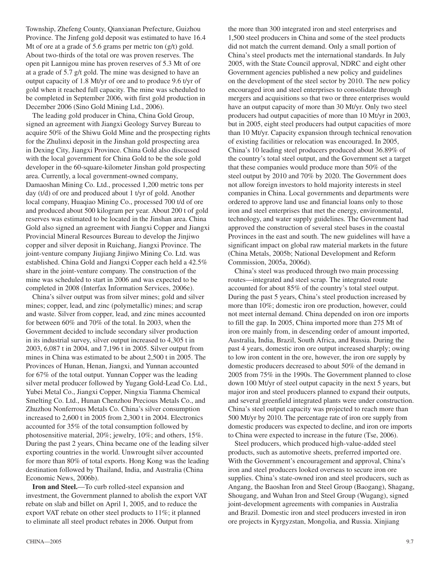Township, Zhefeng County, Qianxianan Prefecture, Guizhou Province. The Jinfeng gold deposit was estimated to have 16.4 Mt of ore at a grade of 5.6 grams per metric ton  $(g/t)$  gold. About two-thirds of the total ore was proven reserves. The open pit Lannigou mine has proven reserves of 5.3 Mt of ore at a grade of 5.7 g/t gold. The mine was designed to have an output capacity of 1.8 Mt/yr of ore and to produce 9.6 t/yr of gold when it reached full capacity. The mine was scheduled to be completed in September 2006, with first gold production in December 2006 (Sino Gold Mining Ltd., 2006).

The leading gold producer in China, China Gold Group, signed an agreement with Jiangxi Geology Survey Bureau to acquire 50% of the Shiwu Gold Mine and the prospecting rights for the Zhulinxi deposit in the Jinshan gold prospecting area in Dexing City, Jiangxi Province. China Gold also discussed with the local government for China Gold to be the sole gold developer in the 60-square-kilometer Jinshan gold prospecting area. Currently, a local government-owned company, Damaoshan Mining Co. Ltd., processed 1,200 metric tons per day (t/d) of ore and produced about 1 t/yr of gold. Another local company, Huaqiao Mining Co., processed 700 t/d of ore and produced about 500 kilogram per year. About 200 t of gold reserves was estimated to be located in the Jinshan area. China Gold also signed an agreement with Jiangxi Copper and Jiangxi Provincial Mineral Resources Bureau to develop the Jinjiwo copper and silver deposit in Ruichang, Jiangxi Province. The joint-venture company Jiujiang Jinjiwo Mining Co. Ltd. was established. China Gold and Jiangxi Copper each held a 42.5% share in the joint-venture company. The construction of the mine was scheduled to start in 2006 and was expected to be completed in 2008 (Interfax Information Services, 2006e).

China's silver output was from silver mines; gold and silver mines; copper, lead, and zinc (polymetallic) mines; and scrap and waste. Silver from copper, lead, and zinc mines accounted for between 60% and 70% of the total. In 2003, when the Government decided to include secondary silver production in its industrial survey, silver output increased to 4,305 t in 2003, 6,087 t in 2004, and 7,196 t in 2005. Silver output from mines in China was estimated to be about 2,500 t in 2005. The Provinces of Hunan, Henan, Jiangxi, and Yunnan accounted for 67% of the total output. Yunnan Copper was the leading silver metal producer followed by Yugang Gold-Lead Co. Ltd., Yubei Metal Co., Jiangxi Copper, Ningxia Tianma Chemical Smelting Co. Ltd., Hunan Chenzhou Precious Metals Co., and Zhuzhou Nonferrous Metals Co. China's silver consumption increased to 2,600 t in 2005 from 2,300 t in 2004. Electronics accounted for 35% of the total consumption followed by photosensitive material, 20%; jewelry, 10%; and others, 15%. During the past 2 years, China became one of the leading silver exporting countries in the world. Unwrought silver accounted for more than 80% of total exports. Hong Kong was the leading destination followed by Thailand, India, and Australia (China Economic News, 2006b).

**Iron and Steel.**—To curb rolled-steel expansion and investment, the Government planned to abolish the export VAT rebate on slab and billet on April 1, 2005, and to reduce the export VAT rebate on other steel products to 11%; it planned to eliminate all steel product rebates in 2006. Output from

the more than 300 integrated iron and steel enterprises and 1,500 steel producers in China and some of the steel products did not match the current demand. Only a small portion of China's steel products met the international standards. In July 2005, with the State Council approval, NDRC and eight other Government agencies published a new policy and guidelines on the development of the steel sector by 2010. The new policy encouraged iron and steel enterprises to consolidate through mergers and acquisitions so that two or three enterprises would have an output capacity of more than 30 Mt/yr. Only two steel producers had output capacities of more than 10 Mt/yr in 2003, but in 2005, eight steel producers had output capacities of more than 10 Mt/yr. Capacity expansion through technical renovation of existing facilities or relocation was encouraged. In 2005, China's 10 leading steel producers produced about 36.89% of the country's total steel output, and the Government set a target that these companies would produce more than 50% of the steel output by 2010 and 70% by 2020. The Government does not allow foreign investors to hold majority interests in steel companies in China. Local governments and departments were ordered to approve land use and financial loans only to those iron and steel enterprises that met the energy, environmental, technology, and water supply guidelines. The Government had approved the construction of several steel bases in the coastal Provinces in the east and south. The new guidelines will have a significant impact on global raw material markets in the future (China Metals, 2005b; National Development and Reform Commission, 2005a, 2006d).

China's steel was produced through two main processing routes—integrated and steel scrap. The integrated route accounted for about 85% of the country's total steel output. During the past 5 years, China's steel production increased by more than 10%; domestic iron ore production, however, could not meet internal demand. China depended on iron ore imports to fill the gap. In 2005, China imported more than 275 Mt of iron ore mainly from, in descending order of amount imported, Australia, India, Brazil, South Africa, and Russia. During the past 4 years, domestic iron ore output increased sharply; owing to low iron content in the ore, however, the iron ore supply by domestic producers decreased to about 50% of the demand in 2005 from 75% in the 1990s. The Government planned to close down 100 Mt/yr of steel output capacity in the next 5 years, but major iron and steel producers planned to expand their outputs, and several greenfield integrated plants were under construction. China's steel output capacity was projected to reach more than 500 Mt/yr by 2010. The percentage rate of iron ore supply from domestic producers was expected to decline, and iron ore imports to China were expected to increase in the future (Tse, 2006).

Steel producers, which produced high-value-added steel products, such as automotive sheets, preferred imported ore. With the Government's encouragement and approval, China's iron and steel producers looked overseas to secure iron ore supplies. China's state-owned iron and steel producers, such as Angang, the Baoshan Iron and Steel Group (Baogang), Shagang, Shougang, and Wuhan Iron and Steel Group (Wugang), signed joint-development agreements with companies in Australia and Brazil. Domestic iron and steel producers invested in iron ore projects in Kyrgyzstan, Mongolia, and Russia. Xinjiang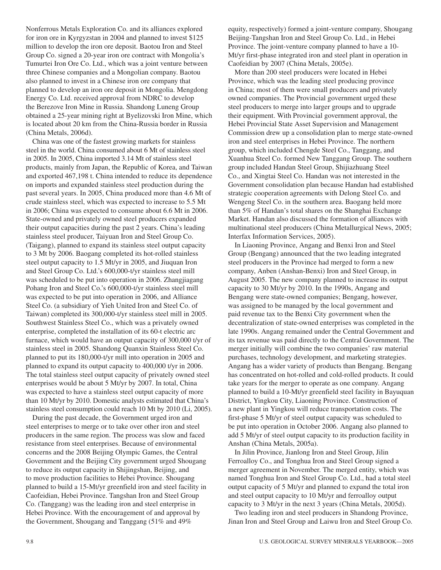Nonferrous Metals Exploration Co. and its alliances explored for iron ore in Kyrgyzstan in 2004 and planned to invest \$125 million to develop the iron ore deposit. Baotou Iron and Steel Group Co. signed a 20-year iron ore contract with Mongolia's Tumurtei Iron Ore Co. Ltd., which was a joint venture between three Chinese companies and a Mongolian company. Baotou also planned to invest in a Chinese iron ore company that planned to develop an iron ore deposit in Mongolia. Mengdong Energy Co. Ltd. received approval from NDRC to develop the Berezove Iron Mine in Russia. Shandong Luneng Group obtained a 25-year mining right at Byelizovski Iron Mine, which is located about 20 km from the China-Russia border in Russia (China Metals, 2006d).

China was one of the fastest growing markets for stainless steel in the world. China consumed about 6 Mt of stainless steel in 2005. In 2005, China imported 3.14 Mt of stainless steel products, mainly from Japan, the Republic of Korea, and Taiwan and exported 467,198 t. China intended to reduce its dependence on imports and expanded stainless steel production during the past several years. In 2005, China produced more than 4.6 Mt of crude stainless steel, which was expected to increase to 5.5 Mt in 2006; China was expected to consume about 6.6 Mt in 2006. State-owned and privately owned steel producers expanded their output capacities during the past 2 years. China's leading stainless steel producer, Taiyuan Iron and Steel Group Co. (Taigang), planned to expand its stainless steel output capacity to 3 Mt by 2006. Baogang completed its hot-rolled stainless steel output capacity to 1.5 Mt/yr in 2005, and Jiuquan Iron and Steel Group Co. Ltd.'s 600,000-t/yr stainless steel mill was scheduled to be put into operation in 2006. Zhangjiagang Pohang Iron and Steel Co.'s 600,000-t/yr stainless steel mill was expected to be put into operation in 2006, and Alliance Steel Co. (a subsidiary of Yieh United Iron and Steel Co. of Taiwan) completed its 300,000-t/yr stainless steel mill in 2005. Southwest Stainless Steel Co., which was a privately owned enterprise, completed the installation of its 60-t electric arc furnace, which would have an output capacity of 300,000 t/yr of stainless steel in 2005. Shandong Quanxin Stainless Steel Co. planned to put its 180,000-t/yr mill into operation in 2005 and planned to expand its output capacity to 400,000 t/yr in 2006. The total stainless steel output capacity of privately owned steel enterprises would be about 5 Mt/yr by 2007. In total, China was expected to have a stainless steel output capacity of more than 10 Mt/yr by 2010. Domestic analysts estimated that China's stainless steel consumption could reach 10 Mt by 2010 (Li, 2005).

During the past decade, the Government urged iron and steel enterprises to merge or to take over other iron and steel producers in the same region. The process was slow and faced resistance from steel enterprises. Because of environmental concerns and the 2008 Beijing Olympic Games, the Central Government and the Beijing City government urged Shougang to reduce its output capacity in Shijingshan, Beijing, and to move production facilities to Hebei Province. Shougang planned to build a 15-Mt/yr greenfield iron and steel facility in Caofeidian, Hebei Province. Tangshan Iron and Steel Group Co. (Tanggang) was the leading iron and steel enterprise in Hebei Province. With the encouragement of and approval by the Government, Shougang and Tanggang (51% and 49%

equity, respectively) formed a joint-venture company, Shougang Beijing-Tangshan Iron and Steel Group Co. Ltd., in Hebei Province. The joint-venture company planned to have a 10- Mt/yr first-phase integrated iron and steel plant in operation in Caofeidian by 2007 (China Metals, 2005e).

More than 200 steel producers were located in Hebei Province, which was the leading steel producing province in China; most of them were small producers and privately owned companies. The Provincial government urged these steel producers to merge into larger groups and to upgrade their equipment. With Provincial government approval, the Hebei Provincial State Asset Supervision and Management Commission drew up a consolidation plan to merge state-owned iron and steel enterprises in Hebei Province. The northern group, which included Chengde Steel Co., Tanggang, and Xuanhua Steel Co. formed New Tanggang Group. The southern group included Handan Steel Group, Shijiazhuang Steel Co., and Xingtai Steel Co. Handan was not interested in the Government consolidation plan because Handan had established strategic cooperation agreements with Delong Steel Co. and Wengeng Steel Co. in the southern area. Baogang held more than 5% of Handan's total shares on the Shanghai Exchange Market. Handan also discussed the formation of alliances with multinational steel producers (China Metallurgical News, 2005; Interfax Information Services, 2005).

In Liaoning Province, Angang and Benxi Iron and Steel Group (Bengang) announced that the two leading integrated steel producers in the Province had merged to form a new company, Anben (Anshan-Benxi) Iron and Steel Group, in August 2005. The new company planned to increase its output capacity to 30 Mt/yr by 2010. In the 1990s, Angang and Bengang were state-owned companies; Bengang, however, was assigned to be managed by the local government and paid revenue tax to the Benxi City government when the decentralization of state-owned enterprises was completed in the late 1990s. Angang remained under the Central Government and its tax revenue was paid directly to the Central Government. The merger initially will combine the two companies' raw material purchases, technology development, and marketing strategies. Angang has a wider variety of products than Bengang. Bengang has concentrated on hot-rolled and cold-rolled products. It could take years for the merger to operate as one company. Angang planned to build a 10-Mt/yr greenfield steel facility in Bayuquan District, Yingkou City, Liaoning Province. Construction of a new plant in Yingkou will reduce transportation costs. The first-phase 5 Mt/yr of steel output capacity was scheduled to be put into operation in October 2006. Angang also planned to add 5 Mt/yr of steel output capacity to its production facility in Anshan (China Metals, 2005a).

In Jilin Province, Jianlong Iron and Steel Group, Jilin Ferroalloy Co., and Tonghua Iron and Steel Group signed a merger agreement in November. The merged entity, which was named Tonghua Iron and Steel Group Co. Ltd., had a total steel output capacity of 5 Mt/yr and planned to expand the total iron and steel output capacity to 10 Mt/yr and ferroalloy output capacity to 3 Mt/yr in the next 3 years (China Metals, 2005d).

Two leading iron and steel producers in Shandong Province, Jinan Iron and Steel Group and Laiwu Iron and Steel Group Co.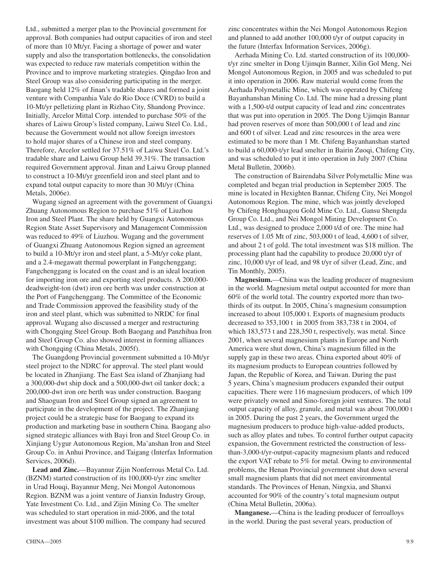Ltd., submitted a merger plan to the Provincial government for approval. Both companies had output capacities of iron and steel of more than 10 Mt/yr. Facing a shortage of power and water supply and also the transportation bottlenecks, the consolidation was expected to reduce raw materials competition within the Province and to improve marketing strategies. Qingdao Iron and Steel Group was also considering participating in the merger. Baogang held 12% of Jinan's tradable shares and formed a joint venture with Companhia Vale do Rio Doce (CVRD) to build a 10-Mt/yr pelletizing plant in Rizhao City, Shandong Province. Initially, Arcelor Mittal Corp. intended to purchase 50% of the shares of Laiwu Group's listed company, Laiwu Steel Co. Ltd., because the Government would not allow foreign investors to hold major shares of a Chinese iron and steel company. Therefore, Arcelor settled for 37.51% of Laiwu Steel Co. Ltd.'s tradable share and Laiwu Group held 39.31%. The transaction required Government approval. Jinan and Laiwu Group planned to construct a 10-Mt/yr greenfield iron and steel plant and to expand total output capacity to more than 30 Mt/yr (China Metals, 2006e).

Wugang signed an agreement with the government of Guangxi Zhuang Autonomous Region to purchase 51% of Liuzhou Iron and Steel Plant. The share held by Guangxi Autonomous Region State Asset Supervisory and Management Commission was reduced to 49% of Liuzhou. Wugang and the government of Guangxi Zhuang Autonomous Region signed an agreement to build a 10-Mt/yr iron and steel plant, a 5-Mt/yr coke plant, and a 2.4-megawatt thermal powerplant in Fangchenggang; Fangchenggang is located on the coast and is an ideal location for importing iron ore and exporting steel products. A 200,000 deadweight-ton (dwt) iron ore berth was under construction at the Port of Fangchenggang. The Committee of the Economic and Trade Commission approved the feasibility study of the iron and steel plant, which was submitted to NRDC for final approval. Wugang also discussed a merger and restructuring with Chongqing Steel Group. Both Baogang and Panzhihua Iron and Steel Group Co. also showed interest in forming alliances with Chongqing (China Metals, 2005f).

The Guangdong Provincial government submitted a 10-Mt/yr steel project to the NDRC for approval. The steel plant would be located in Zhanjiang. The East Sea island of Zhanjiang had a 300,000-dwt ship dock and a 500,000-dwt oil tanker dock; a 200,000-dwt iron ore berth was under construction. Baogang and Shaoguan Iron and Steel Group signed an agreement to participate in the development of the project. The Zhanjiang project could be a strategic base for Baogang to expand its production and marketing base in southern China. Baogang also signed strategic alliances with Bayi Iron and Steel Group Co. in Xinjiang Uygur Autonomous Region, Ma'anshan Iron and Steel Group Co. in Anhui Province, and Taigang (Interfax Information Services, 2006d).

**Lead and Zinc.**—Bayannur Zijin Nonferrous Metal Co. Ltd. (BZNM) started construction of its 100,000-t/yr zinc smelter in Urad Houqi, Bayannur Meng, Nei Mongol Autonomous Region. BZNM was a joint venture of Jianxin Industry Group, Yate Investment Co. Ltd., and Zijin Mining Co. The smelter was scheduled to start operation in mid-2006, and the total investment was about \$100 million. The company had secured

zinc concentrates within the Nei Mongol Autonomous Region and planned to add another 100,000 t/yr of output capacity in the future (Interfax Information Services, 2006g).

Aerhada Mining Co. Ltd. started construction of its 100,000 t/yr zinc smelter in Dong Ujimqin Banner, Xilin Gol Meng, Nei Mongol Autonomous Region, in 2005 and was scheduled to put it into operation in 2006. Raw material would come from the Aerhada Polymetallic Mine, which was operated by Chifeng Bayanhanshan Mining Co. Ltd. The mine had a dressing plant with a 1,500-t/d output capacity of lead and zinc concentrates that was put into operation in 2005. The Dong Ujimqin Bannar had proven reserves of more than 500,000 t of lead and zinc and 600 t of silver. Lead and zinc resources in the area were estimated to be more than 1 Mt. Chifeng Bayanhanshan started to build a 60,000-t/yr lead smelter in Bairin Zuoqi, Chifeng City, and was scheduled to put it into operation in July 2007 (China Metal Bulletin, 2006b).

The construction of Bairendaba Silver Polymetallic Mine was completed and began trial production in September 2005. The mine is located in Hexighten Bannar, Chifeng City, Nei Mongol Autonomous Region. The mine, which was jointly developed by Chifeng Honghuagou Gold Mine Co. Ltd., Gansu Shengda Group Co. Ltd., and Nei Mongol Mining Development Co. Ltd., was designed to produce 2,000 t/d of ore. The mine had reserves of 1.05 Mt of zinc, 503,000 t of lead, 4,600 t of silver, and about 2 t of gold. The total investment was \$18 million. The processing plant had the capability to produce 20,000 t/yr of zinc, 10,000 t/yr of lead, and 98 t/yr of silver (Lead, Zinc, and Tin Monthly, 2005).

**Magnesium.**—China was the leading producer of magnesium in the world. Magnesium metal output accounted for more than 60% of the world total. The country exported more than twothirds of its output. In 2005, China's magnesium consumption increased to about 105,000 t. Exports of magnesium products decreased to 353,100 t in 2005 from 383,738 t in 2004, of which 183,573 t and 228,350 t, respectively, was metal. Since 2001, when several magnesium plants in Europe and North America were shut down, China's magnesium filled in the supply gap in these two areas. China exported about 40% of its magnesium products to European countries followed by Japan, the Republic of Korea, and Taiwan. During the past 5 years, China's magnesium producers expanded their output capacities. There were 116 magnesium producers, of which 109 were privately owned and Sino-foreign joint ventures. The total output capacity of alloy, granule, and metal was about 700,000 t in 2005. During the past 2 years, the Government urged the magnesium producers to produce high-value-added products, such as alloy plates and tubes. To control further output capacity expansion, the Government restricted the construction of lessthan-3,000-t/yr-output-capacity magnesium plants and reduced the export VAT rebate to 5% for metal. Owing to environmental problems, the Henan Provincial government shut down several small magnesium plants that did not meet environmental standards. The Provinces of Henan, Ningxia, and Shanxi accounted for 90% of the country's total magnesium output (China Metal Bulletin, 2006a).

**Manganese.**—China is the leading producer of ferroalloys in the world. During the past several years, production of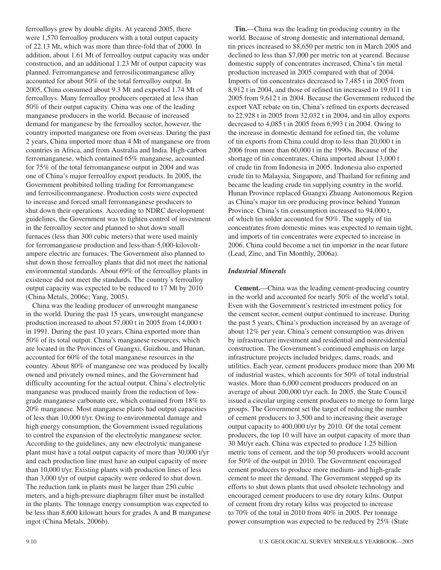ferroalloys grew by double digits. At yearend 2005, there were 1,570 ferroalloy producers with a total output capacity of 22.13 Mt, which was more than three-fold that of 2000. In addition, about 1.61 Mt of ferroalloy output capacity was under construction, and an additional 1.23 Mt of output capacity was planned. Ferromanganese and ferrosiliconmanganese alloy accounted for about 50% of the total ferroalloy output. In 2005, China consumed about 9.3 Mt and exported 1.74 Mt of ferroalloys. Many ferroalloy producers operated at less than 50% of their output capacity. China was one of the leading manganese producers in the world. Because of increased demand for manganese by the ferroalloy sector, however, the country imported manganese ore from overseas. During the past 2 years, China imported more than 4 Mt of manganese ore from countries in Africa, and from Australia and India. High-carbon ferromanganese, which contained 65% manganese, accounted for 75% of the total ferromanganese output in 2004 and was one of China's major ferroalloy export products. In 2005, the Government prohibited tolling trading for ferromanganese and ferrosiliconmanganese. Production costs were expected to increase and forced small ferromanganese producers to shut down their operations. According to NDRC development guidelines, the Government was to tighten control of investment in the ferroalloy sector and planned to shut down small furnaces (less than 300 cubic meters) that were used mainly for ferromanganese production and less-than-5,000-kilovoltampere electric arc furnaces. The Government also planned to shut down those ferroalloy plants that did not meet the national environmental standards. About 69% of the ferroalloy plants in existence did not meet the standards. The country's ferroalloy output capacity was expected to be reduced to 17 Mt by 2010 (China Metals, 2006c; Yang, 2005).

China was the leading producer of unwrought manganese in the world. During the past 15 years, unwrought manganese production increased to about 57,000 t in 2005 from 14,000 t in 1991. During the past 10 years, China exported more than 50% of its total output. China's manganese resources, which are located in the Provinces of Guangxi, Guizhou, and Hunan, accounted for 60% of the total manganese resources in the country. About 80% of manganese ore was produced by locally owned and privately owned mines, and the Government had difficulty accounting for the actual output. China's electrolytic manganese was produced mainly from the reduction of lowgrade manganese carbonate ore, which contained from 18% to 20% manganese. Most manganese plants had output capacities of less than 10,000 t/yr. Owing to environmental damage and high energy consumption, the Government issued regulations to control the expansion of the electrolytic manganese sector. According to the guidelines, any new electrolytic manganese plant must have a total output capacity of more than 30,000 t/yr and each production line must have an output capacity of more than 10,000 t/yr. Existing plants with production lines of less than 3,000 t/yr of output capacity were ordered to shut down. The reduction tank in plants must be larger than 250 cubic meters, and a high-pressure diaphragm filter must be installed in the plants. The tonnage energy consumption was expected to be less than 8,600 kilowatt hours for grades A and B manganese ingot (China Metals, 2006b).

**Tin.**—China was the leading tin producing country in the world. Because of strong domestic and international demand, tin prices increased to \$8,650 per metric ton in March 2005 and declined to less than \$7,000 per metric ton at yearend. Because domestic supply of concentrates increased, China's tin metal production increased in 2005 compared with that of 2004. Imports of tin concentrates decreased to 7,485 t in 2005 from 8,912 t in 2004, and those of refined tin increased to 19,011 t in 2005 from 9,612 t in 2004. Because the Government reduced the export VAT rebate on tin, China's refined tin exports decreased to 22,928 t in 2005 from 32,032 t in 2004, and tin alloy exports decreased to 4,085 t in 2005 from 6,993 t in 2004. Owing to the increase in domestic demand for refined tin, the volume of tin exports from China could drop to less than 20,000 t in 2006 from more than 60,000 t in the 1990s. Because of the shortage of tin concentrates, China imported about 13,000 t of crude tin from Indonesia in 2005. Indonesia also exported crude tin to Malaysia, Singapore, and Thailand for refining and became the leading crude tin supplying country in the world. Hunan Province replaced Guangxi Zhuang Autonomous Region as China's major tin ore producing province behind Yunnan Province. China's tin consumption increased to 94,000 t, of which tin solder accounted for 50%. The supply of tin concentrates from domestic mines was expected to remain tight, and imports of tin concentrates were expected to increase in 2006. China could become a net tin importer in the near future (Lead, Zinc, and Tin Monthly, 2006a).

#### *Industrial Minerals*

**Cement.**—China was the leading cement-producing country in the world and accounted for nearly 50% of the world's total. Even with the Government's restricted investment policy for the cement sector, cement output continued to increase. During the past 5 years, China's production increased by an average of about 12% per year. China's cement consumption was driven by infrastructure investment and residential and nonresidential construction. The Government's continued emphasis on large infrastructure projects included bridges, dams, roads, and utilities. Each year, cement producers produce more than 200 Mt of industrial wastes, which accounts for 50% of total industrial wastes. More than 6,000 cement producers produced on an average of about 200,000 t/yr each. In 2005, the State Council issued a circular urging cement producers to merge to form large groups. The Government set the target of reducing the number of cement producers to 3,500 and to increasing their average output capacity to 400,000 t/yr by 2010. Of the total cement producers, the top 10 will have an output capacity of more than 30 Mt/yr each. China was expected to produce 1.25 billion metric tons of cement, and the top 50 producers would account for 50% of the output in 2010. The Government encouraged cement producers to produce more medium- and high-grade cement to meet the demand. The Government stepped up its efforts to shut down plants that used obsolete technology and encouraged cement producers to use dry rotary kilns. Output of cement from dry rotary kilns was projected to increase to 70% of the total in 2010 from 40% in 2005. Per tonnage power consumption was expected to be reduced by 25% (State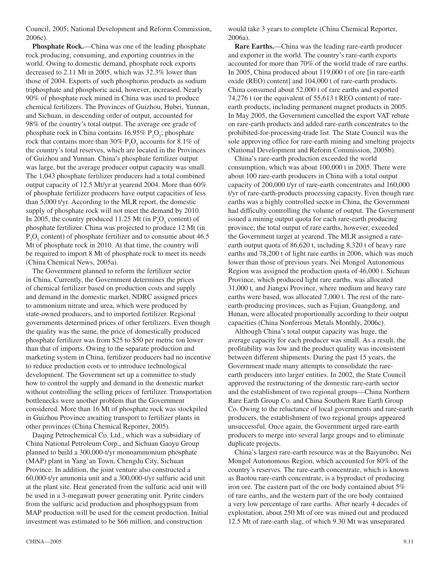Council, 2005; National Development and Reform Commission, 2006c).

**Phosphate Rock.**—China was one of the leading phosphate rock producing, consuming, and exporting countries in the world. Owing to domestic demand, phosphate rock exports decreased to 2.11 Mt in 2005, which was 32.3% lower than those of 2004. Exports of such phosphorus products as sodium triphosphate and phosphoric acid, however, increased. Nearly 90% of phosphate rock mined in China was used to produce chemical fertilizers. The Provinces of Guizhou, Hubei, Yunnan, and Sichuan, in descending order of output, accounted for 98% of the country's total output. The average ore grade of phosphate rock in China contains  $16.95\%$   $P_2O_5$ ; phosphate rock that contains more than 30%  $P_2O_5$  accounts for 8.1% of the country's total reserves, which are located in the Provinces of Guizhou and Yunnan. China's phosphate fertilizer output was large, but the average producer output capacity was small. The 1,043 phosphate fertilizer producers had a total combined output capacity of 12.5 Mt/yr at yearend 2004. More than 60% of phosphate fertilizer producers have output capacities of less than 5,000 t/yr. According to the MLR report, the domestic supply of phosphate rock will not meet the demand by 2010. In 2005, the country produced 11.25 Mt (in  $P_2O_5$  content) of phosphate fertilizer. China was projected to produce 12 Mt (in  $P_2O_5$  content) of phosphate fertilizer and to consume about 46.5 Mt of phosphate rock in 2010. At that time, the country will be required to import 8 Mt of phosphate rock to meet its needs (China Chemical News, 2005a).

The Government planned to reform the fertilizer sector in China. Currently, the Government determines the prices of chemical fertilizer based on production costs and supply and demand in the domestic market. NDRC assigned prices to ammonium nitrate and urea, which were produced by state-owned producers, and to imported fertilizer. Regional governments determined prices of other fertilizers. Even though the quality was the same, the price of domestically produced phosphate fertilizer was from \$25 to \$50 per metric ton lower than that of imports. Owing to the separate production and marketing system in China, fertilizer producers had no incentive to reduce production costs or to introduce technological development. The Government set up a committee to study how to control the supply and demand in the domestic market without controlling the selling prices of fertilizer. Transportation bottlenecks were another problem that the Government considered. More than 16 Mt of phosphate rock was stockpiled in Guizhou Province awaiting transport to fertilizer plants in other provinces (China Chemical Reporter, 2005).

Daqing Petrochemical Co. Ltd., which was a subsidiary of China National Petroleum Corp., and Sichuan Gaoyu Group planned to build a 300,000-t/yr monoammonium phosphate (MAP) plant in Yang'an Town, Chengdu City, Sichuan Province. In addition, the joint venture also constructed a 60,000-t/yr ammonia unit and a 300,000-t/yr sulfuric acid unit at the plant site. Heat generated from the sulfuric acid unit will be used in a 3-megawatt power generating unit. Pyrite cinders from the sulfuric acid production and phosphogypsum from MAP production will be used for the cement production. Initial investment was estimated to be \$66 million, and construction

would take 3 years to complete (China Chemical Reporter, 2006a).

**Rare Earths.**—China was the leading rare-earth producer and exporter in the world. The country's rare-earth exports accounted for more than 70% of the world trade of rare earths. In 2005, China produced about 119,000 t of ore [in rare-earth oxide (REO) content] and 104,000 t of rare-earth products. China consumed about 52,000 t of rare earths and exported 74,276 t (or the equivalent of 55,613 t REO content) of rareearth products, including permanent magnet products in 2005. In May 2005, the Government cancelled the export VAT rebate on rare-earth products and added rare-earth concentrates to the prohibited-for-processing-trade list. The State Council was the sole approving office for rare-earth mining and smelting projects (National Development and Reform Commission, 2005b).

China's rare-earth production exceeded the world consumption, which was about 100,000 t in 2005. There were about 100 rare-earth producers in China with a total output capacity of 200,000 t/yr of rare-earth concentrates and 160,000 t/yr of rare-earth-products processing capacity. Even though rare earths was a highly controlled sector in China, the Government had difficulty controlling the volume of output. The Government issued a mining output quota for each rare-earth producing province; the total output of rare earths, however, exceeded the Government target at yearend. The MLR assigned a rareearth output quota of 86,620 t, including 8,320 t of heavy rare earths and 78,200 t of light rare earths in 2006, which was much lower than those of previous years. Nei Mongol Autonomous Region was assigned the production quota of 46,000 t. Sichuan Province, which produced light rare earths, was allocated 31,000 t, and Jiangxi Province, where medium and heavy rare earths were based, was allocated 7,000 t. The rest of the rareearth-producing provinces, such as Fujian, Guangdong, and Hunan, were allocated proportionally according to their output capacities (China Nonferrous Metals Monthly, 2006c).

Although China's total output capacity was huge, the average capacity for each producer was small. As a result, the profitability was low and the product quality was inconsistent between different shipments. During the past 15 years, the Government made many attempts to consolidate the rareearth producers into larger entities. In 2002, the State Council approved the restructuring of the domestic rare-earth sector and the establishment of two regional groups—China Northern Rare Earth Group Co. and China Southern Rare Earth Group Co. Owing to the reluctance of local governments and rare-earth producers, the establishment of two regional groups appeared unsuccessful. Once again, the Government urged rare-earth producers to merge into several large groups and to eliminate duplicate projects.

China's largest rare-earth resource was at the Baiyunobo, Nei Mongol Autonomous Region, which accounted for 80% of the country's reserves. The rare-earth concentrate, which is known as Baotou rare-earth concentrate, is a byproduct of producing iron ore. The eastern part of the ore body contained about 5% of rare earths, and the western part of the ore body contained a very low percentage of rare earths. After nearly 4 decades of exploitation, about 250 Mt of ore was mined out and produced 12.5 Mt of rare-earth slag, of which 9.30 Mt was unseparated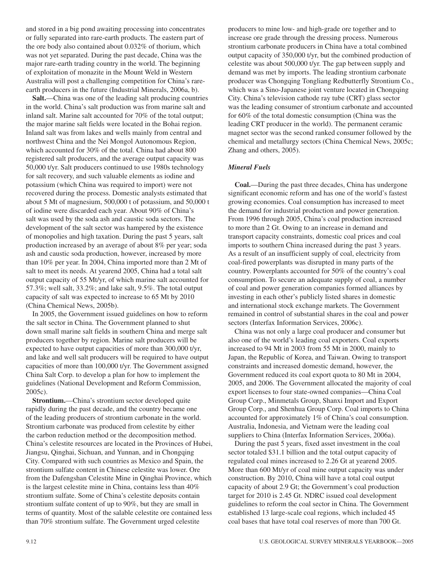and stored in a big pond awaiting processing into concentrates or fully separated into rare-earth products. The eastern part of the ore body also contained about 0.032% of thorium, which was not yet separated. During the past decade, China was the major rare-earth trading country in the world. The beginning of exploitation of monazite in the Mount Weld in Western Australia will post a challenging competition for China's rareearth producers in the future (Industrial Minerals, 2006a, b).

**Salt.**—China was one of the leading salt producing countries in the world. China's salt production was from marine salt and inland salt. Marine salt accounted for 70% of the total output; the major marine salt fields were located in the Bohai region. Inland salt was from lakes and wells mainly from central and northwest China and the Nei Mongol Autonomous Region, which accounted for 30% of the total. China had about 800 registered salt producers, and the average output capacity was 50,000 t/yr. Salt producers continued to use 1980s technology for salt recovery, and such valuable elements as iodine and potassium (which China was required to import) were not recovered during the process. Domestic analysts estimated that about 5 Mt of magnesium, 500,000 t of potassium, and 50,000 t of iodine were discarded each year. About 90% of China's salt was used by the soda ash and caustic soda sectors. The development of the salt sector was hampered by the existence of monopolies and high taxation. During the past 5 years, salt production increased by an average of about 8% per year; soda ash and caustic soda production, however, increased by more than 10% per year. In 2004, China imported more than 2 Mt of salt to meet its needs. At yearend 2005, China had a total salt output capacity of 55 Mt/yr, of which marine salt accounted for 57.3%; well salt, 33.2%; and lake salt, 9.5%. The total output capacity of salt was expected to increase to 65 Mt by 2010 (China Chemical News, 2005b).

In 2005, the Government issued guidelines on how to reform the salt sector in China. The Government planned to shut down small marine salt fields in southern China and merge salt producers together by region. Marine salt producers will be expected to have output capacities of more than 300,000 t/yr, and lake and well salt producers will be required to have output capacities of more than 100,000 t/yr. The Government assigned China Salt Corp. to develop a plan for how to implement the guidelines (National Development and Reform Commission, 2005c).

**Strontium.**—China's strontium sector developed quite rapidly during the past decade, and the country became one of the leading producers of strontium carbonate in the world. Strontium carbonate was produced from celestite by either the carbon reduction method or the decomposition method. China's celestite resources are located in the Provinces of Hubei, Jiangsu, Qinghai, Sichuan, and Yunnan, and in Chongqing City. Compared with such countries as Mexico and Spain, the strontium sulfate content in Chinese celestite was lower. Ore from the Dafengshan Celestite Mine in Qinghai Province, which is the largest celestite mine in China, contains less than 40% strontium sulfate. Some of China's celestite deposits contain strontium sulfate content of up to 90%, but they are small in terms of quantity. Most of the salable celestite ore contained less than 70% strontium sulfate. The Government urged celestite

producers to mine low- and high-grade ore together and to increase ore grade through the dressing process. Numerous strontium carbonate producers in China have a total combined output capacity of 350,000 t/yr, but the combined production of celestite was about 500,000 t/yr. The gap between supply and demand was met by imports. The leading strontium carbonate producer was Chongqing Tongliang Redbutterfly Strontium Co., which was a Sino-Japanese joint venture located in Chongqing City. China's television cathode ray tube (CRT) glass sector was the leading consumer of strontium carbonate and accounted for 60% of the total domestic consumption (China was the leading CRT producer in the world). The permanent ceramic magnet sector was the second ranked consumer followed by the chemical and metallurgy sectors (China Chemical News, 2005c; Zhang and others, 2005).

#### *Mineral Fuels*

**Coal.**—During the past three decades, China has undergone significant economic reform and has one of the world's fastest growing economies. Coal consumption has increased to meet the demand for industrial production and power generation. From 1996 through 2005, China's coal production increased to more than 2 Gt. Owing to an increase in demand and transport capacity constraints, domestic coal prices and coal imports to southern China increased during the past 3 years. As a result of an insufficient supply of coal, electricity from coal-fired powerplants was disrupted in many parts of the country. Powerplants accounted for 50% of the country's coal consumption. To secure an adequate supply of coal, a number of coal and power generation companies formed alliances by investing in each other's publicly listed shares in domestic and international stock exchange markets. The Government remained in control of substantial shares in the coal and power sectors (Interfax Information Services, 2006c).

China was not only a large coal producer and consumer but also one of the world's leading coal exporters. Coal exports increased to 94 Mt in 2003 from 55 Mt in 2000, mainly to Japan, the Republic of Korea, and Taiwan. Owing to transport constraints and increased domestic demand, however, the Government reduced its coal export quota to 80 Mt in 2004, 2005, and 2006. The Government allocated the majority of coal export licenses to four state-owned companies—China Coal Group Corp., Minmetals Group, Shanxi Import and Export Group Corp., and Shenhua Group Corp. Coal imports to China accounted for approximately 1% of China's coal consumption. Australia, Indonesia, and Vietnam were the leading coal suppliers to China (Interfax Information Services, 2006a).

During the past 5 years, fixed asset investment in the coal sector totaled \$31.1 billion and the total output capacity of regulated coal mines increased to 2.26 Gt at yearend 2005. More than 600 Mt/yr of coal mine output capacity was under construction. By 2010, China will have a total coal output capacity of about 2.9 Gt; the Government's coal production target for 2010 is 2.45 Gt. NDRC issued coal development guidelines to reform the coal sector in China. The Government established 13 large-scale coal regions, which included 45 coal bases that have total coal reserves of more than 700 Gt.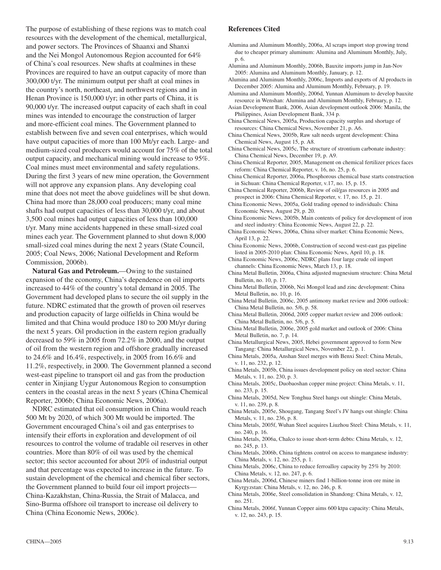The purpose of establishing of these regions was to match coal resources with the development of the chemical, metallurgical, and power sectors. The Provinces of Shaanxi and Shanxi and the Nei Mongol Autonomous Region accounted for 64% of China's coal resources. New shafts at coalmines in these Provinces are required to have an output capacity of more than 300,000 t/yr. The minimum output per shaft at coal mines in the country's north, northeast, and northwest regions and in Henan Province is 150,000 t/yr; in other parts of China, it is 90,000 t/yr. The increased output capacity of each shaft in coal mines was intended to encourage the construction of larger and more-efficient coal mines. The Government planned to establish between five and seven coal enterprises, which would have output capacities of more than 100 Mt/yr each. Large- and medium-sized coal producers would account for 75% of the total output capacity, and mechanical mining would increase to 95%. Coal mines must meet environmental and safety regulations. During the first 3 years of new mine operation, the Government will not approve any expansion plans. Any developing coal mine that does not meet the above guidelines will be shut down. China had more than 28,000 coal producers; many coal mine shafts had output capacities of less than 30,000 t/yr, and about 3,500 coal mines had output capacities of less than 100,000 t/yr. Many mine accidents happened in these small-sized coal mines each year. The Government planned to shut down 8,000 small-sized coal mines during the next 2 years (State Council, 2005; Coal News, 2006; National Development and Reform Commission, 2006b).

**Natural Gas and Petroleum.**—Owing to the sustained expansion of the economy, China's dependence on oil imports increased to 44% of the country's total demand in 2005. The Government had developed plans to secure the oil supply in the future. NDRC estimated that the growth of proven oil reserves and production capacity of large oilfields in China would be limited and that China would produce 180 to 200 Mt/yr during the next 5 years. Oil production in the eastern region gradually decreased to 59% in 2005 from 72.2% in 2000, and the output of oil from the western region and offshore gradually increased to 24.6% and 16.4%, respectively, in 2005 from 16.6% and 11.2%, respectively, in 2000. The Government planned a second west-east pipeline to transport oil and gas from the production center in Xinjiang Uygur Autonomous Region to consumption centers in the coastal areas in the next 5 years (China Chemical Reporter, 2006b; China Economic News, 2006a).

NDRC estimated that oil consumption in China would reach 500 Mt by 2020, of which 300 Mt would be imported. The Government encouraged China's oil and gas enterprises to intensify their efforts in exploration and development of oil resources to control the volume of tradable oil reserves in other countries. More than 80% of oil was used by the chemical sector; this sector accounted for about 20% of industrial output and that percentage was expected to increase in the future. To sustain development of the chemical and chemical fiber sectors, the Government planned to build four oil import projects— China-Kazakhstan, China-Russia, the Strait of Malacca, and Sino-Burma offshore oil transport to increase oil delivery to China (China Economic News, 2006c).

#### **References Cited**

- Alumina and Aluminum Monthly, 2006a, Al scraps import stop growing trend due to cheaper primary aluminum: Alumina and Aluminum Monthly, July, p. 6.
- Alumina and Aluminum Monthly, 2006b, Bauxite imports jump in Jan-Nov 2005: Alumina and Aluminum Monthly, January, p. 12.
- Alumina and Aluminum Monthly, 2006c, Imports and exports of Al products in December 2005: Alumina and Aluminum Monthly, February, p. 19.
- Alumina and Aluminum Monthly, 2006d, Yunnan Aluminum to develop bauxite resource in Wenshan: Alumina and Aluminum Monthly, February, p. 12.
- Asian Development Bank, 2006, Asian development outlook 2006: Manila, the Philippines, Asian Development Bank, 334 p.
- China Chemical News, 2005a, Production capacity surplus and shortage of resources: China Chemical News, November 21, p. A6.
- China Chemical News, 2005b, Raw salt needs urgent development: China Chemical News, August 15, p. A8.
- China Chemical News, 2005c, The structure of strontium carbonate industry: China Chemical News, December 19, p. A9.
- China Chemical Reporter, 2005, Management on chemical fertilizer prices faces reform: China Chemical Reporter, v. 16, no. 25, p. 6.
- China Chemical Reporter, 2006a, Phosphorous chemical base starts construction in Sichuan: China Chemical Reporter, v.17, no. 15, p. 15.
- China Chemical Reporter, 2006b, Review of oil/gas resources in 2005 and prospect in 2006: China Chemical Reporter, v. 17, no. 15, p. 21.
- China Economic News, 2005a, Gold trading opened to individuals: China Economic News, August 29, p. 20.
- China Economic News, 2005b, Main contents of policy for development of iron and steel industry: China Economic News, August 22, p. 22.
- China Economic News, 2006a, China silver market: China Economic News, April 13, p. 22.
- China Economic News, 2006b, Construction of second west-east gas pipeline listed in 2005-2010 plan: China Economic News, April 10, p. 18.
- China Economic News, 2006c, NDRC plans four large crude oil import channels: China Economic News, March 13, p. 18.
- China Metal Bulletin, 2006a, China adjusted magnesium structure: China Metal Bulletin, no. 10, p. 17.
- China Metal Bulletin, 2006b, Nei Mongol lead and zinc development: China Metal Bulletin, no. 10, p. 16.
- China Metal Bulletin, 2006c, 2005 antimony market review and 2006 outlook: China Metal Bulletin, no. 5/6, p. 58.
- China Metal Bulletin, 2006d, 2005 copper market review and 2006 outlook: China Metal Bulletin, no. 5/6, p. 5.
- China Metal Bulletin, 2006e, 2005 gold market and outlook of 2006: China Metal Bulletin, no. 7, p. 14.
- China Metallurgical News, 2005, Hebei government approved to form New Tangang: China Metallurgical News, November 22, p. 1.
- China Metals, 2005a, Anshan Steel merges with Benxi Steel: China Metals, v. 11, no. 232, p. 12.
- China Metals, 2005b, China issues development policy on steel sector: China Metals, v. 11, no. 230, p. 3.
- China Metals, 2005c, Duobaoshan copper mine project: China Metals, v. 11, no. 233, p. 15.
- China Metals, 2005d, New Tonghua Steel hangs out shingle: China Metals, v. 11, no. 239, p. 8.
- China Metals, 2005e, Shougang, Tangang Steel's JV hangs out shingle: China Metals, v. 11, no. 236, p. 8.
- China Metals, 2005f, Wuhan Steel acquires Liuzhou Steel: China Metals, v. 11, no. 240, p. 16.
- China Metals, 2006a, Chalco to issue short-term debts: China Metals, v. 12, no. 245, p. 13.
- China Metals, 2006b, China tightens control on access to manganese industry: China Metals, v. 12, no. 255, p. 1.
- China Metals, 2006c, China to reduce ferroalloy capacity by 25% by 2010: China Metals, v. 12, no. 247, p. 6.
- China Metals, 2006d, Chinese miners find 1-billion-tonne iron ore mine in Kyrgyzstan: China Metals, v. 12, no. 246, p. 8.
- China Metals, 2006e, Steel consolidation in Shandong: China Metals, v. 12, no. 251.
- China Metals, 2006f, Yunnan Copper aims 600 ktpa capacity: China Metals, v. 12, no. 243, p. 15.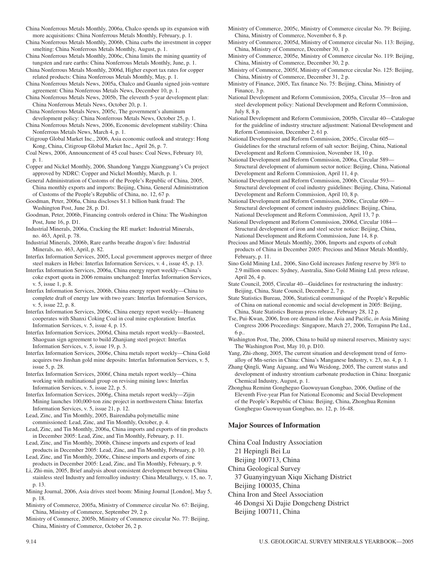China Nonferrous Metals Monthly, 2006b, China curbs the investment in copper smelting: China Nonferrous Metals Monthly, August, p. 1.

China Nonferrous Metals Monthly, 2006c, China limits the mining quantity of tungsten and rare earths: China Nonferrous Metals Monthly, June, p. 1.

China Nonferrous Metals Monthly, 2006d, Higher export tax rates for copper related products: China Nonferrous Metals Monthly, May, p. 1.

China Nonferrous Metals News, 2005a, Chalco and Guanlu signed join-venture agreement: China Nonferrous Metals News, December 10, p. 1.

China Nonferrous Metals News, 2005b, The eleventh 5-year development plan: China Nonferrous Metals News, October 20, p. 1.

China Nonferrous Metals News, 2005c, The government's aluminum development policy: China Nonferrous Metals News, October 25, p. 1.

China Nonferrous Metals News, 2006, Economic development stability: China Nonferrous Metals News, March 4, p. 1.

Citigroup Global Market Inc., 2006, Asia economic outlook and strategy: Hong Kong, China, Citigroup Global Market Inc., April 26, p. 7.

Coal News, 2006, Announcement of 45 coal bases: Coal News, February 10, p. 1.

Copper and Nickel Monthly, 2006, Shandong Yanggu Xiangguang's Cu project approved by NDRC: Copper and Nickel Monthly, March, p. 1.

General Administration of Customs of the People's Republic of China, 2005, China monthly exports and imports: Beijing, China, General Administration of Customs of the People's Republic of China, no. 12, 67 p.

Goodman, Peter, 2006a, China discloses \$1.1 billion bank fraud: The Washington Post, June 28, p. D1.

Goodman, Peter, 2006b, Financing controls ordered in China: The Washington Post, June 16, p. D1.

Industrial Minerals, 2006a, Cracking the RE market: Industrial Minerals, no. 463, April, p. 78.

Industrial Minerals, 2006b, Rare earths breathe dragon's fire: Industrial Minerals, no. 463, April, p. 82.

Interfax Information Services, 2005, Local government approves merger of three steel makers in Hebei: Interfax Information Services, v. 4 , issue 45, p. 13.

Interfax Information Services, 2006a, China energy report weekly—China's coke export quota in 2006 remains unchanged: Interfax Information Services, v. 5, issue 1, p. 8.

Interfax Information Services, 2006b, China energy report weekly—China to complete draft of energy law with two years: Interfax Information Services, v. 5, issue 22, p. 8.

Interfax Information Services, 2006c, China energy report weekly—Huaneng cooperates with Shanxi Coking Coal in coal mine exploration: Interfax Information Services, v. 5, issue 4, p. 15.

Interfax Information Services, 2006d, China metals report weekly—Baosteel, Shaoguan sign agreement to build Zhanjiang steel project: Interfax Information Services, v. 5, issue 19, p. 3.

Interfax Information Services, 2006e, China metals report weekly—China Gold acquires two Jinshan gold mine deposits: Interfax Information Services, v. 5, issue 5, p. 28.

Interfax Information Services, 2006f, China metals report weekly—China working with multinational group on revising mining laws: Interfax Information Services, v. 5, issue 22, p. 5.

Interfax Information Services, 2006g, China metals report weekly—Zijin Mining launches 100,000-ton zinc project in northwestern China: Interfax Information Services, v. 5, issue 21, p. 12.

Lead, Zinc, and Tin Monthly, 2005, Bairendaba polymetallic mine commissioned: Lead, Zinc, and Tin Monthly, October, p. 4.

Lead, Zinc, and Tin Monthly, 2006a, China imports and exports of tin products in December 2005: Lead, Zinc, and Tin Monthly, February, p. 11.

Lead, Zinc, and Tin Monthly, 2006b, Chinese imports and exports of lead products in December 2005: Lead, Zinc, and Tin Monthly, February, p. 10.

Lead, Zinc, and Tin Monthly, 2006c, Chinese imports and exports of zinc products in December 2005: Lead, Zinc, and Tin Monthly, February, p. 9.

Li, Zhi-min, 2005, Brief analysis about consistent development between China stainless steel Industry and ferroalloy industry: China Metallurgy, v. 15, no. 7, p. 13.

Mining Journal, 2006, Asia drives steel boom: Mining Journal [London], May 5, p. 18.

Ministry of Commerce, 2005a, Ministry of Commerce circular No. 67: Beijing, China, Ministry of Commerce, September 29, 2 p.

Ministry of Commerce, 2005b, Ministry of Commerce circular No. 77: Beijing, China, Ministry of Commerce, October 26, 2 p.

Ministry of Commerce, 2005c, Ministry of Commerce circular No. 79: Beijing, China, Ministry of Commerce, November 6, 8 p.

Ministry of Commerce, 2005d, Ministry of Commerce circular No. 113: Beijing, China, Ministry of Commerce, December 30, 1 p.

Ministry of Commerce, 2005e, Ministry of Commerce circular No. 119: Beijing, China, Ministry of Commerce, December 30, 2 p.

Ministry of Commerce, 2005f, Ministry of Commerce circular No. 125: Beijing, China, Ministry of Commerce, December 31, 2 p.

Ministry of Finance, 2005, Tax finance No. 75: Beijing, China, Ministry of Finance, 3 p.

National Development and Reform Commission, 2005a, Circular 35—Iron and steel development policy: National Development and Reform Commission, July 8, 8 p.

National Development and Reform Commission, 2005b, Circular 40—Catalogue for the guideline of industry structure adjustment: National Development and Reform Commission, December 2, 61 p.

National Development and Reform Commission, 2005c, Circular 605— Guidelines for the structural reform of salt sector: Beijing, China, National Development and Reform Commission, November 18, 10 p.

National Development and Reform Commission, 2006a, Circular 589— Structural development of aluminum sector notice: Beijing, China, National Development and Reform Commission, April 11, 4 p.

National Development and Reform Commission, 2006b, Circular 593— Structural development of coal industry guidelines: Beijing, China, National Development and Reform Commission, April 10, 8 p.

National Development and Reform Commission, 2006c, Circular 609— Structural development of cement industry guidelines: Beijing, China, National Development and Reform Commission, April 13, 7 p.

National Development and Reform Commission, 2006d, Circular 1084— Structural development of iron and steel sector notice: Beijing, China, National Development and Reform Commission, June 14, 8 p.

Precious and Minor Metals Monthly, 2006, Imports and exports of cobalt products of China in December 2005: Precious and Minor Metals Monthly, February, p. 11.

Sino Gold Mining Ltd., 2006, Sino Gold increases Jinfeng reserve by 38% to 2.9 million ounces: Sydney, Australia, Sino Gold Mining Ltd. press release, April 26, 4 p.

State Council, 2005, Circular 40—Guidelines for restructuring the industry: Beijing, China, State Council, December 2, 7 p.

State Statistics Bureau, 2006, Statistical communiqué of the People's Republic of China on national economic and social development in 2005: Beijing, China, State Statistics Bureau press release, February 28, 12 p.

Tse, Pui-Kwan, 2006, Iron ore demand in the Asia and Pacific, *in* Asia Mining Congress 2006 Proceedings: Singapore, March 27, 2006, Terrapinn Pte Ltd., 6 p..

Washington Post, The, 2006, China to build up mineral reserves, Ministry says: The Washington Post, May 10, p. D10.

Yang, Zhi-zhong, 2005, The current situation and development trend of ferroalloy of Mn-series in China: China's Manganese Industry, v. 23, no. 4, p. 1.

Zhang Qingli, Wang Aiguang, and Wu Weidong, 2005, The current status and development of industry strontium carbonate production in China: Inorganic Chemical Industry, August, p. 1.

Zhonghua Reminn Gongheguo Guowuyuan Gongbao, 2006, Outline of the Eleventh Five-year Plan for National Economic and Social Development of the People's Republic of China: Beijing, China, Zhonghua Reminn Gongheguo Guowuyuan Gongbao, no. 12, p. 16-48.

#### **Major Sources of Information**

China Coal Industry Association

21 Hepingli Bei Lu

Beijing 100713, China

China Geological Survey

37 Guanyingyuan Xiqu Xichang District Beijing 100035, China

China Iron and Steel Association

46 Dongsi Xi Dajie Dongcheng District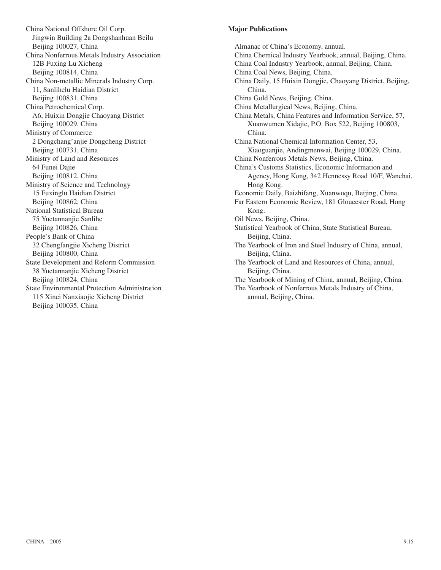China National Offshore Oil Corp. Jingwin Building 2a Dongshanhuan Beilu Beijing 100027, China China Nonferrous Metals Industry Association 12B Fuxing Lu Xicheng Beijing 100814, China China Non-metallic Minerals Industry Corp. 11, Sanlihelu Haidian District Beijing 100831, China China Petrochemical Corp. A6, Huixin Dongjie Chaoyang District Beijing 100029, China Ministry of Commerce 2 Dongchang'anjie Dongcheng District Beijing 100731, China Ministry of Land and Resources 64 Funei Dajie Beijing 100812, China Ministry of Science and Technology 15 Fuxinglu Haidian District Beijing 100862, China National Statistical Bureau 75 Yuetannanjie Sanlihe Beijing 100826, China People's Bank of China 32 Chengfangjie Xicheng District Beijing 100800, China State Development and Reform Commission 38 Yuetannanjie Xicheng District Beijing 100824, China State Environmental Protection Administration 115 Xinei Nanxiaojie Xicheng District Beijing 100035, China

#### **Major Publications**

Almanac of China's Economy, annual. China Chemical Industry Yearbook, annual, Beijing, China. China Coal Industry Yearbook, annual, Beijing, China. China Coal News, Beijing, China. China Daily, 15 Huixin Dongjie, Chaoyang District, Beijing, China. China Gold News, Beijing, China. China Metallurgical News, Beijing, China. China Metals, China Features and Information Service, 57, Xuanwumen Xidajie, P.O. Box 522, Beijing 100803, China. China National Chemical Information Center, 53, Xiaoguanjie, Andingmenwai, Beijing 100029, China. China Nonferrous Metals News, Beijing, China. China's Customs Statistics, Economic Information and Agency, Hong Kong, 342 Hennessy Road 10/F, Wanchai, Hong Kong. Economic Daily, Baizhifang, Xuanwuqu, Beijing, China. Far Eastern Economic Review, 181 Gloucester Road, Hong Kong. Oil News, Beijing, China. Statistical Yearbook of China, State Statistical Bureau, Beijing, China. The Yearbook of Iron and Steel Industry of China, annual, Beijing, China. The Yearbook of Land and Resources of China, annual, Beijing, China. The Yearbook of Mining of China, annual, Beijing, China. The Yearbook of Nonferrous Metals Industry of China, annual, Beijing, China.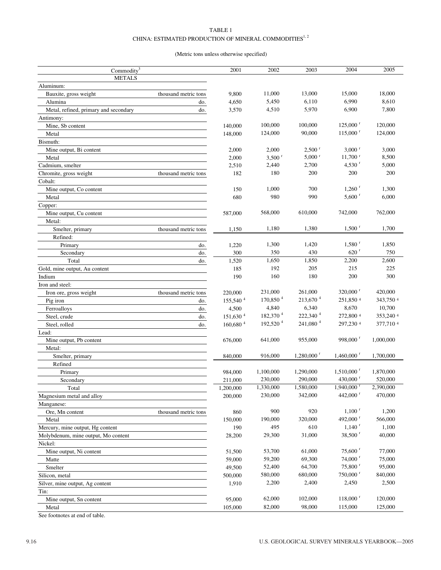#### TABLE 1 CHINA: ESTIMATED PRODUCTION OF MINERAL COMMODITIES  $^{1,\,2}$

#### (Metric tons unless otherwise specified)

| Commodity <sup>3</sup>                |                      | 2001                   | 2002                 | 2003                     | 2004                     | 2005      |
|---------------------------------------|----------------------|------------------------|----------------------|--------------------------|--------------------------|-----------|
| <b>METALS</b>                         |                      |                        |                      |                          |                          |           |
| Aluminum:                             |                      |                        |                      |                          |                          |           |
| Bauxite, gross weight                 | thousand metric tons | 9,800                  | 11,000               | 13,000                   | 15,000                   | 18,000    |
| Alumina                               | do.                  | 4,650                  | 5,450                | 6,110                    | 6,990                    | 8,610     |
| Metal, refined, primary and secondary | do.                  | 3,570                  | 4,510                | 5,970                    | 6,900                    | 7,800     |
| Antimony:                             |                      |                        |                      |                          |                          |           |
| Mine, Sb content                      |                      | 140,000                | 100,000              | 100,000                  | $125,000$ <sup>r</sup>   | 120,000   |
| Metal                                 |                      | 148,000                | 124,000              | 90,000                   | $115,000$ <sup>r</sup>   | 124,000   |
| Bismuth:                              |                      |                        |                      |                          |                          |           |
| Mine output, Bi content               |                      | 2,000                  | 2,000                | $2,500$ <sup>r</sup>     | $3,000$ <sup>r</sup>     | 3,000     |
| Metal                                 |                      | 2,000                  | $3,500$ <sup>r</sup> | $5,000$ r                | $11,700$ <sup>r</sup>    | 8,500     |
| Cadmium, smelter                      |                      | 2,510                  | 2,440                | 2,700                    | 4,530 $^{r}$             | 5,000     |
| Chromite, gross weight                | thousand metric tons | 182                    | 180                  | 200                      | 200                      | 200       |
| Cobalt:                               |                      |                        |                      |                          |                          |           |
| Mine output, Co content               |                      | 150                    | 1,000                | 700                      | $1,260$ <sup>r</sup>     | 1,300     |
| Metal                                 |                      | 680                    | 980                  | 990                      | $5,600$ <sup>r</sup>     | 6,000     |
| Copper:                               |                      |                        |                      |                          |                          |           |
| Mine output, Cu content               |                      | 587,000                | 568,000              | 610,000                  | 742,000                  | 762,000   |
| Metal:                                |                      |                        |                      |                          |                          |           |
| Smelter, primary                      | thousand metric tons | 1,150                  | 1,180                | 1,380                    | $1,500$ <sup>r</sup>     | 1,700     |
| Refined:                              |                      |                        |                      |                          |                          |           |
| Primary                               | do.                  | 1,220                  | 1,300                | 1,420                    | $1,580$ <sup>r</sup>     | 1,850     |
| Secondary                             | do.                  | 300                    | 350                  | 430                      | $620$ <sup>r</sup>       | 750       |
| Total                                 | do.                  | 1,520                  | 1,650                | 1,850                    | 2,200                    | 2,600     |
| Gold, mine output, Au content         |                      | 185                    | 192                  | 205                      | 215                      | 225       |
| Indium                                |                      | 190                    | 160                  | 180                      | 200                      | 300       |
| Iron and steel:                       |                      |                        |                      |                          |                          |           |
| Iron ore, gross weight                | thousand metric tons | 220,000                | 231,000              | 261,000                  | $320,000$ <sup>r</sup>   | 420,000   |
| Pig iron                              |                      | 155,540 4              | 170,850 <sup>4</sup> | 213,670 <sup>4</sup>     | 251,850 4                | 343,750 4 |
|                                       | do.                  | 4,500                  | 4,840                | 6,340                    | 8,670                    | 10,700    |
| Ferroalloys<br>Steel, crude           | do.<br>do.           | 151,630 <sup>4</sup>   | 182,370 <sup>4</sup> | 222,340 <sup>4</sup>     | 272,800 4                | 353,240 4 |
|                                       |                      | $160,680$ <sup>4</sup> | 192,520 <sup>4</sup> | 241,080 <sup>4</sup>     | 297,230 4                | 377,7104  |
| Steel, rolled                         | do.                  |                        |                      |                          |                          |           |
| Lead:                                 |                      | 676,000                | 641,000              | 955,000                  | 998,000 $^{\rm r}$       | 1,000,000 |
| Mine output, Pb content               |                      |                        |                      |                          |                          |           |
| Metal:                                |                      | 840,000                | 916,000              | $1,280,000$ <sup>r</sup> | $1,460,000$ <sup>r</sup> | 1,700,000 |
| Smelter, primary<br>Refined           |                      |                        |                      |                          |                          |           |
|                                       |                      |                        | 1,100,000            | 1,290,000                | $1,510,000$ <sup>r</sup> | 1,870,000 |
| Primary                               |                      | 984,000                | 230,000              | 290,000                  | 430,000 $^{\circ}$       | 520,000   |
| Secondary                             |                      | 211,000                | 1,330,000            | 1,580,000                | $1,940,000$ <sup>r</sup> | 2,390,000 |
| Total                                 |                      | 1,200,000              | 230,000              | 342,000                  | 442,000 <sup>r</sup>     | 470,000   |
| Magnesium metal and alloy             |                      | 200,000                |                      |                          |                          |           |
| Manganese:                            |                      |                        | 900                  | 920                      | $1,100$ <sup>r</sup>     | 1,200     |
| Ore, Mn content                       | thousand metric tons | 860<br>150,000         | 190,000              | 320,000                  | 492,000 $^{\rm r}$       | 566,000   |
| Metal                                 |                      |                        | 495                  | 610                      | $1,140$ <sup>r</sup>     | 1,100     |
| Mercury, mine output, Hg content      |                      | 190                    |                      |                          |                          |           |
| Molybdenum, mine output, Mo content   |                      | 28,200                 | 29,300               | 31,000                   | $38,500$ <sup>r</sup>    | 40,000    |
| Nickel:                               |                      |                        |                      |                          |                          |           |
| Mine output, Ni content               |                      | 51,500                 | 53,700               | 61,000                   | $75,600$ <sup>r</sup>    | 77,000    |
| Matte                                 |                      | 59,000                 | 59,200               | 69,300                   | $74,000$ <sup>r</sup>    | 75,000    |
| Smelter                               |                      | 49,500                 | 52,400               | 64,700                   | $75,800$ <sup>r</sup>    | 95,000    |
| Silicon, metal                        |                      | 500,000                | 580,000              | 680,000                  | 750,000 <sup>r</sup>     | 840,000   |
| Silver, mine output, Ag content       |                      | 1,910                  | 2,200                | 2,400                    | 2,450                    | 2,500     |
| Tin:                                  |                      |                        |                      |                          |                          |           |
| Mine output, Sn content               |                      | 95,000                 | 62,000               | 102,000                  | $118,000$ <sup>r</sup>   | 120,000   |
| Metal                                 |                      | 105,000                | 82,000               | 98,000                   | 115,000                  | 125,000   |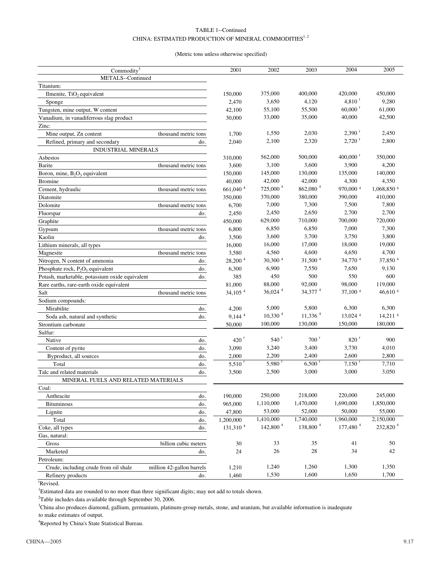#### TABLE 1--Continued CHINA: ESTIMATED PRODUCTION OF MINERAL COMMODITIES $^{1,\,2}$

#### (Metric tons unless otherwise specified)

| Commodity <sup>3</sup>                         |                           | 2001                  | 2002                 | 2003                  | 2004                   | 2005                 |
|------------------------------------------------|---------------------------|-----------------------|----------------------|-----------------------|------------------------|----------------------|
| METALS--Continued                              |                           |                       |                      |                       |                        |                      |
| Titanium:                                      |                           |                       |                      |                       |                        |                      |
| Ilmenite, TiO <sub>2</sub> equivalent          |                           | 150,000               | 375,000              | 400,000               | 420,000                | 450,000              |
| Sponge                                         |                           | 2,470                 | 3,650                | 4,120                 | $4,810$ <sup>r</sup>   | 9,280                |
| Tungsten, mine output, W content               |                           | 42,100                | 55,100               | 55,500                | $60,000$ <sup>r</sup>  | 61,000               |
| Vanadium, in vanadiferrous slag product        |                           | 30,000                | 33,000               | 35,000                | 40,000                 | 42,500               |
| Zinc:                                          |                           |                       |                      |                       |                        |                      |
| Mine output, Zn content                        | thousand metric tons      | 1,700                 | 1,550                | 2,030                 | $2,390$ <sup>r</sup>   | 2,450                |
| Refined, primary and secondary                 | do.                       | 2,040                 | 2,100                | 2,320                 | $2,720$ <sup>r</sup>   | 2,800                |
| <b>INDUSTRIAL MINERALS</b>                     |                           |                       |                      |                       |                        |                      |
| Asbestos                                       |                           | 310,000               | 562,000              | 500,000               | $400,000$ <sup>r</sup> | 350,000              |
| Barite                                         | thousand metric tons      | 3,600                 | 3,100                | 3,600                 | 3,900                  | 4,200                |
| Boron, mine, $B_2O_3$ equivalent               |                           | 150,000               | 145,000              | 130,000               | 135,000                | 140,000              |
| <b>Bromine</b>                                 |                           | 40,000                | 42,000               | 42,000                | 4,300                  | 4,350                |
| Cement, hydraulic                              | thousand metric tons      | 661,040 <sup>4</sup>  | 725,000 <sup>4</sup> | 862,080 <sup>4</sup>  | 970,000 4              | 1,068,850 4          |
| Diatomite                                      |                           | 350,000               | 370,000              | 380,000               | 390,000                | 410,000              |
| Dolomite                                       | thousand metric tons      | 6,700                 | 7,000                | 7,300                 | 7,500                  | 7,800                |
| Fluorspar                                      | do.                       | 2,450                 | 2,450                | 2,650                 | 2,700                  | 2,700                |
| Graphite                                       |                           | 450,000               | 629,000              | 710,000               | 700,000                | 720,000              |
| Gypsum                                         | thousand metric tons      | 6,800                 | 6,850                | 6,850                 | 7,000                  | 7,300                |
| Kaolin                                         | do.                       | 3,500                 | 3,600                | 3,700                 | 3,750                  | 3,800                |
| Lithium minerals, all types                    |                           | 16,000                | 16,000               | 17,000                | 18,000                 | 19,000               |
| Magnesite                                      | thousand metric tons      | 3,580                 | 4,560                | 4,600                 | 4,650                  | 4,700                |
| Nitrogen, N content of ammonia                 | do.                       | 28,200 4              | 30,300 4             | 31,500 4              | 34,770 4               | 37,850 4             |
| Phosphate rock, $P_2O_5$ equivalent            | do.                       | 6,300                 | 6,900                | 7,550                 | 7,650                  | 9,130                |
| Potash, marketable, potassium oxide equivalent | do.                       | 385                   | 450                  | 500                   | 550                    | 600                  |
| Rare earths, rare-earth oxide equivalent       |                           | 81,000                | 88,000               | 92,000                | 98,000                 | 119,000              |
| Salt                                           | thousand metric tons      | $34,105$ <sup>4</sup> | 36,024 <sup>4</sup>  | 34,377 <sup>4</sup>   | 37,100 4               | 46,610 $4$           |
| Sodium compounds:                              |                           |                       |                      |                       |                        |                      |
| Mirabilite                                     | do.                       | 4,200                 | 5,000                | 5,800                 | 6,300                  | 6,300                |
| Soda ash, natural and synthetic                | do.                       | $9,144$ <sup>4</sup>  | 10,330 <sup>4</sup>  | $11,336$ <sup>4</sup> | 13,024 4               | 14,211 4             |
| Strontium carbonate                            |                           | 50,000                | 100,000              | 130,000               | 150,000                | 180,000              |
| Sulfur:                                        |                           |                       |                      |                       |                        |                      |
| Native                                         | do.                       | $420$ <sup>r</sup>    | 540 <sup>r</sup>     | 700 <sup>r</sup>      | 820 <sup>r</sup>       | 900                  |
| Content of pyrite                              | do.                       | 3,090                 | 3,240                | 3,400                 | 3,730                  | 4,010                |
| Byproduct, all sources                         | do.                       | 2,000                 | 2,200                | 2,400                 | 2,600                  | 2,800                |
| Total                                          | do.                       | $5,510^{r}$           | 5,980 $^{\rm r}$     | $6,500$ <sup>r</sup>  | $7,150$ <sup>r</sup>   | 7,710                |
| Talc and related materials                     | do.                       | 3,500                 | 2,500                | 3,000                 | 3,000                  | 3,050                |
| MINERAL FUELS AND RELATED MATERIALS            |                           |                       |                      |                       |                        |                      |
| Coal:                                          |                           |                       |                      |                       |                        |                      |
| Anthracite                                     | do.                       | 190,000               | 250,000              | 218,000               | 220,000                | 245,000              |
|                                                |                           | 965,000               | 1,110,000            | 1,470,000             | 1,690,000              | 1,850,000            |
| Bituminous                                     | do.                       |                       | 53,000               | 52,000                | 50,000                 | 55,000               |
| Lignite                                        | do.                       | 47,800<br>1,200,000   | 1,410,000            | 1,740,000             | 1,960,000              | 2,150,000            |
| Total                                          | do.                       | 131,310 <sup>4</sup>  | 142,800 <sup>4</sup> | 138,800 <sup>4</sup>  | 177,480 <sup>4</sup>   | 232,820 <sup>4</sup> |
| Coke, all types                                | do.                       |                       |                      |                       |                        |                      |
| Gas, natural:                                  |                           |                       |                      |                       |                        |                      |
| Gross                                          | billion cubic meters      | 30                    | 33                   | 35                    | 41                     | 50                   |
| Marketed                                       | do.                       | 24                    | 26                   | 28                    | 34                     | 42                   |
| Petroleum:                                     |                           |                       |                      |                       |                        |                      |
| Crude, including crude from oil shale          | million 42-gallon barrels | 1,210                 | 1,240                | 1,260                 | 1,300                  | 1,350                |
| Refinery products                              | do.                       | 1,460                 | 1,530                | 1,600                 | 1,650                  | 1,700                |

r Revised.

<sup>1</sup>Estimated data are rounded to no more than three significant digits; may not add to totals shown.

 $2$ Table includes data available through September 30, 2006.

3 China also produces diamond, gallium, germanium, platinum-group metals, stone, and uranium, but available information is inadequate to make estimates of output.

<sup>4</sup>Reported by China's State Statistical Bureau.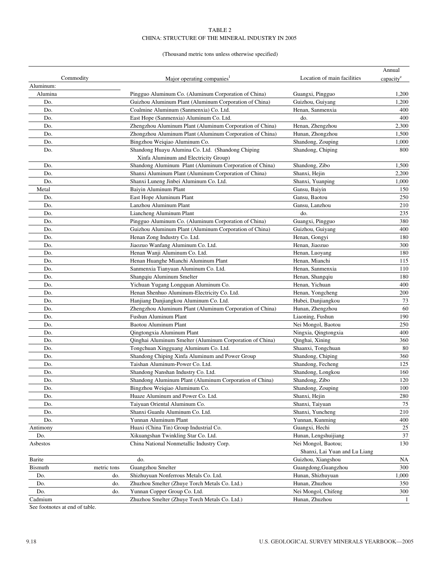#### TABLE 2 CHINA: STRUCTURE OF THE MINERAL INDUSTRY IN 2005

#### (Thousand metric tons unless otherwise specified)

| Commodity |             | Major operating companies <sup>1</sup>                   | Location of main facilities   | Annual                |
|-----------|-------------|----------------------------------------------------------|-------------------------------|-----------------------|
| Aluminum: |             |                                                          |                               | capacity <sup>e</sup> |
| Alumina   |             | Pingguo Aluminum Co. (Aluminum Corporation of China)     | Guangxi, Pingguo              | 1,200                 |
| Do.       |             | Guizhou Aluminum Plant (Aluminum Corporation of China)   | Guizhou, Guiyang              | 1,200                 |
| Do.       |             | Coalmine Aluminum (Sanmenxia) Co. Ltd.                   | Henan, Sanmenxia              | 400                   |
| Do.       |             | East Hope (Sanmenxia) Aluminum Co. Ltd.                  | do.                           | 400                   |
| Do.       |             | Zhengzhou Aluminum Plant (Aluminum Corporation of China) | Henan, Zhengzhou              | 2,300                 |
| Do.       |             | Zhongzhou Aluminum Plant (Aluminum Corporation of China) | Hunan, Zhongzhou              | 1,500                 |
| Do.       |             | Bingzhou Weiqiao Aluminum Co.                            | Shandong, Zouping             | 1,000                 |
| Do.       |             | Shandong Huayu Alumina Co. Ltd. (Shandong Chiping        | Shandong, Chiping             | 800                   |
|           |             | Xinfa Aluminum and Electricity Group)                    |                               |                       |
| Do.       |             | Shandong Aluminum Plant (Aluminum Corporation of China)  | Shandong, Zibo                | 1,500                 |
| Do.       |             | Shanxi Aluminum Plant (Aluminum Corporation of China)    | Shanxi, Hejin                 | 2,200                 |
| Do.       |             | Shanxi Luneng Jinbei Aluminum Co. Ltd.                   | Shanxi, Yuanping              | 1,000                 |
| Metal     |             | Baiyin Aluminum Plant                                    | Gansu, Baiyin                 | 150                   |
| Do.       |             | East Hope Aluminum Plant                                 | Gansu, Baotou                 | 250                   |
| Do.       |             | Lanzhou Aluminum Plant                                   | Gansu, Lanzhou                | 210                   |
| Do.       |             | Liancheng Aluminum Plant                                 | do.                           | 235                   |
| Do.       |             | Pingguo Aluminum Co. (Aluminum Corporation of China)     | Guangxi, Pingguo              | 380                   |
| Do.       |             | Guizhou Aluminum Plant (Aluminum Corporation of China)   | Guizhou, Guiyang              | 400                   |
| Do.       |             | Henan Zong Industry Co. Ltd.                             | Henan, Gongyi                 | 180                   |
| Do.       |             | Jiaozuo Wanfang Aluminum Co. Ltd.                        | Henan, Jiaozuo                | 300                   |
| Do.       |             | Henan Wanji Aluminum Co. Ltd.                            | Henan, Luoyang                | 180                   |
| Do.       |             | Henan Huanghe Mianchi Aluminum Plant                     | Henan, Mianchi                | 115                   |
| Do.       |             | Sanmenxia Tianyuan Aluminum Co. Ltd.                     | Henan, Sanmenxia              | 110                   |
| Do.       |             | Shangqiu Aluminum Smelter                                | Henan, Shangqiu               | 180                   |
| Do.       |             | Yichuan Yugang Longquan Aluminum Co.                     | Henan, Yichuan                | 400                   |
| Do.       |             | Henan Shenhuo Aluminum-Electricity Co. Ltd.              | Henan, Yongcheng              | 200                   |
| Do.       |             | Hanjiang Danjiangkou Aluminum Co. Ltd.                   | Hubei, Danjiangkou            | 73                    |
| Do.       |             | Zhengzhou Aluminum Plant (Aluminum Corporation of China) | Hunan, Zhengzhou              | 60                    |
| Do.       |             | Fushun Aluminum Plant                                    | Liaoning, Fushun              | 190                   |
| Do.       |             | <b>Baotou Aluminum Plant</b>                             | Nei Mongol, Baotou            | 250                   |
| Do.       |             | Qingtongxia Aluminum Plant                               | Ningxia, Qingtongxia          | 400                   |
| Do.       |             | Qinghai Aluminum Smelter (Aluminum Corporation of China) | Qinghai, Xining               | 360                   |
| Do.       |             | Tongchuan Xingguang Aluminum Co. Ltd.                    | Shaanxi, Tongchuan            | 80                    |
| Do.       |             | Shandong Chiping Xinfa Aluminum and Power Group          | Shandong, Chiping             | 360                   |
| Do.       |             | Taishan Aluminum-Power Co. Ltd.                          | Shandong, Fecheng             | 125                   |
| Do.       |             | Shandong Nanshan Industry Co. Ltd.                       | Shandong, Longkou             | 160                   |
| Do.       |             | Shandong Aluminum Plant (Aluminum Corporation of China)  | Shandong, Zibo                | 120                   |
| Do.       |             | Bingzhou Weigiao Aluminum Co.                            | Shandong, Zouping             | 100                   |
| Do.       |             | Huaze Aluminum and Power Co. Ltd.                        | Shanxi, Hejin                 | 280                   |
| Do.       |             | Taiyuan Oriental Aluminum Co.                            | Shanxi, Taiyuan               | 75                    |
| Do.       |             | Shanxi Guanlu Aluminum Co. Ltd.                          | Shanxi, Yuncheng              | 210                   |
| Do.       |             | Yunnan Aluminum Plant                                    | Yunnan, Kunming               | 400                   |
| Antimony  |             | Huaxi (China Tin) Group Industrial Co.                   | Guangxi, Hechi                | 25                    |
| Do.       |             | Xikuangshan Twinkling Star Co. Ltd.                      | Hunan, Lengshuijiang          | 37                    |
| Asbestos  |             | China National Nonmetallic Industry Corp.                | Nei Mongol, Baotou;           | 130                   |
|           |             |                                                          | Shanxi, Lai Yuan and Lu Liang |                       |
| Barite    |             | do.                                                      | Guizhou, Xiangshou            | NA                    |
| Bismuth   | metric tons | Guangzhou Smelter                                        | Guangdong, Guangzhou          | 300                   |
| Do.       | do.         | Shizhuyuan Nonferrous Metals Co. Ltd.                    | Hunan, Shizhuyuan             | 1,000                 |
| Do.       | do.         | Zhuzhou Smelter (Zhuye Torch Metals Co. Ltd.)            | Hunan, Zhuzhou                | 350                   |
| Do.       | do.         | Yunnan Copper Group Co. Ltd.                             | Nei Mongol, Chifeng           | 300                   |
| Cadmium   |             | Zhuzhou Smelter (Zhuye Torch Metals Co. Ltd.)            | Hunan, Zhuzhou                | -1                    |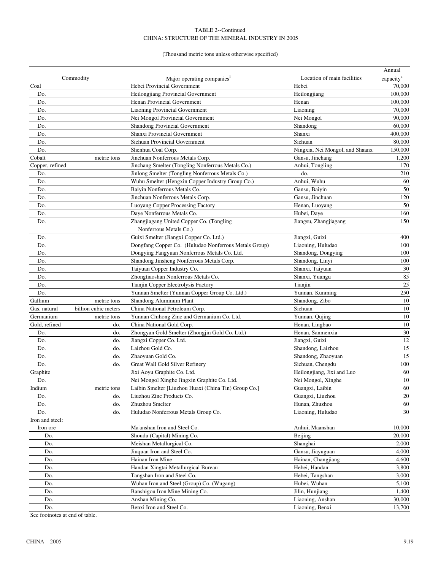#### TABLE 2--Continued CHINA: STRUCTURE OF THE MINERAL INDUSTRY IN 2005

#### (Thousand metric tons unless otherwise specified)

|                 |                      |                                                       |                                 | Annual                |
|-----------------|----------------------|-------------------------------------------------------|---------------------------------|-----------------------|
|                 | Commodity            | Major operating companies <sup>1</sup>                | Location of main facilities     | capacity <sup>e</sup> |
| Coal            |                      | Hebei Provincial Government                           | Hebei                           | 70,000                |
| Do.             |                      | Heilongjiang Provincial Government                    | Heilongjiang                    | 100,000               |
| Do.             |                      | Henan Provincial Government                           | Henan                           | 100,000               |
| Do.             |                      | <b>Liaoning Provincial Government</b>                 | Liaoning                        | 70,000                |
| Do.             |                      | Nei Mongol Provincial Government                      | Nei Mongol                      | 90,000                |
| Do.             |                      | <b>Shandong Provincial Government</b>                 | Shandong                        | 60,000                |
| Do.             |                      | Shanxi Provincial Government                          | Shanxi                          | 400,000               |
| Do.             |                      | <b>Sichuan Provincial Government</b>                  | Sichuan                         | 80,000                |
| Do.             |                      | Shenhua Coal Corp.                                    | Ningxia, Nei Mongol, and Shaanx | 150,000               |
| Cobalt          | metric tons          | Jinchuan Nonferrous Metals Corp.                      | Gansu, Jinchang                 | 1,200                 |
| Copper, refined |                      | Jinchang Smelter (Tongling Nonferrous Metals Co.)     | Anhui, Tongling                 | 170                   |
| Do.             |                      | Jinlong Smelter (Tongling Nonferrous Metals Co.)      | do.                             | 210                   |
| Do.             |                      | Wuhu Smelter (Hengxin Copper Industry Group Co.)      | Anhui, Wuhu                     | 60                    |
| Do.             |                      | Baiyin Nonferrous Metals Co.                          | Gansu, Baiyin                   | 50                    |
| Do.             |                      | Jinchuan Nonferrous Metals Corp.                      | Gansu, Jinchuan                 | 120                   |
| Do.             |                      | Luoyang Copper Processing Factory                     | Henan, Luoyang                  | 50                    |
| Do.             |                      | Daye Nonferrous Metals Co.                            | Hubei, Daye                     | 160                   |
| Do.             |                      | Zhangjiagang United Copper Co. (Tongling              | Jiangsu, Zhangjiagang           | 150                   |
|                 |                      | Nonferrous Metals Co.)                                |                                 |                       |
| Do.             |                      | Guixi Smelter (Jiangxi Copper Co. Ltd.)               | Jiangxi, Guixi                  | 400                   |
| Do.             |                      | Dongfang Copper Co. (Huludao Nonferrous Metals Group) | Liaoning, Huludao               | 100                   |
| Do.             |                      | Dongying Fangyuan Nonferrous Metals Co. Ltd.          | Shandong, Dongying              | 100                   |
| Do.             |                      | Shandong Jinsheng Nonferrous Metals Corp.             | Shandong, Linyi                 | 100                   |
| Do.             |                      | Taiyuan Copper Industry Co.                           | Shanxi, Taiyuan                 | 30                    |
| Do.             |                      | Zhongtiaoshan Nonferrous Metals Co.                   | Shanxi, Yuangu                  | 85                    |
| Do.             |                      | Tianjin Copper Electrolysis Factory                   | Tianjin                         | 25                    |
| Do.             |                      | Yunnan Smelter (Yunnan Copper Group Co. Ltd.)         | Yunnan, Kunming                 | 250                   |
| Gallium         | metric tons          | Shandong Aluminum Plant                               | Shandong, Zibo                  | 10                    |
| Gas, natural    | billion cubic meters | China National Petroleum Corp.                        | Sichuan                         | 10                    |
| Germanium       | metric tons          | Yunnan Chihong Zinc and Germanium Co. Ltd.            | Yunnan, Qujing                  | 10                    |
| Gold, refined   | do.                  | China National Gold Corp.                             | Henan, Lingbao                  | 10                    |
| Do.             | do.                  | Zhongyan Gold Smelter (Zhongjin Gold Co. Ltd.)        | Henan, Sanmenxia                | 30                    |
| Do.             | do.                  | Jiangxi Copper Co. Ltd.                               | Jiangxi, Guixi                  | 12                    |
| Do.             | do.                  | Laizhou Gold Co.                                      | Shandong, Laizhou               | 15                    |
| Do.             | do.                  | Zhaoyuan Gold Co.                                     | Shandong, Zhaoyuan              | 15                    |
| Do.             | do.                  | Great Wall Gold Silver Refinery                       | Sichuan, Chengdu                |                       |
|                 |                      | Jixi Aoyu Graphite Co. Ltd.                           |                                 | 100<br>60             |
| Graphite        |                      |                                                       | Heilongjiang, Jixi and Luo      |                       |
| Do.             |                      | Nei Mongol Xinghe Jingxin Graphite Co. Ltd.           | Nei Mongol, Xinghe              | 10<br>60              |
| Indium          | metric tons          | Laibin Smelter [Liuzhou Huaxi (China Tin) Group Co.]  | Guangxi, Laibin                 |                       |
| Do.             | do.                  | Liuzhou Zinc Products Co.                             | Guangxi, Liuzhou                | 20                    |
| Do.             | do.                  | Zhuzhou Smelter                                       | Hunan, Zhuzhou                  | 60                    |
| Do.             | do.                  | Huludao Nonferrous Metals Group Co.                   | Liaoning, Huludao               | 30                    |
| Iron and steel: |                      |                                                       |                                 |                       |
| Iron ore        |                      | Ma'anshan Iron and Steel Co.                          | Anhui, Maanshan                 | 10,000                |
| Do.             |                      | Shoudu (Capital) Mining Co.                           | Beijing                         | 20,000                |
| Do.             |                      | Meishan Metallurgical Co.                             | Shanghai                        | 2,000                 |
| Do.             |                      | Jiuquan Iron and Steel Co.                            | Gansu, Jiayuguan                | 4,000                 |
| Do.             |                      | Hainan Iron Mine                                      | Hainan, Changjiang              | 4,600                 |
| Do.             |                      | Handan Xingtai Metallurgical Bureau                   | Hebei, Handan                   | 3,800                 |
| Do.             |                      | Tangshan Iron and Steel Co.                           | Hebei, Tangshan                 | 3,000                 |
| Do.             |                      | Wuhan Iron and Steel (Group) Co. (Wugang)             | Hubei, Wuhan                    | 5,100                 |
| Do.             |                      | Banshigou Iron Mine Mining Co.                        | Jilin, Hunjiang                 | 1,400                 |
| Do.             |                      | Anshan Mining Co.                                     | Liaoning, Anshan                | 30,000                |
| Do.             |                      | Benxi Iron and Steel Co.                              | Liaoning, Benxi                 | 13,700                |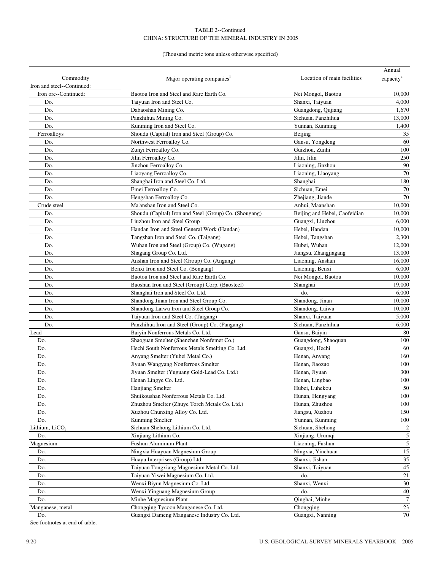#### TABLE 2--Continued CHINA: STRUCTURE OF THE MINERAL INDUSTRY IN 2005

#### (Thousand metric tons unless otherwise specified)

|                            |                                                        |                               | Annual                  |
|----------------------------|--------------------------------------------------------|-------------------------------|-------------------------|
| Commodity                  | Major operating companies <sup>1</sup>                 | Location of main facilities   | capacity <sup>e</sup>   |
| Iron and steel--Continued: |                                                        |                               |                         |
| Iron ore--Continued:       | Baotou Iron and Steel and Rare Earth Co.               | Nei Mongol, Baotou            | 10,000                  |
| Do.                        | Taiyuan Iron and Steel Co.                             | Shanxi, Taiyuan               | 4,000                   |
| Do.                        | Dabaoshan Mining Co.                                   | Guangdong, Qujiang            | 1,670                   |
| Do.                        | Panzhihua Mining Co.                                   | Sichuan, Panzhihua            | 13,000                  |
| Do.                        | Kunming Iron and Steel Co.                             | Yunnan, Kunming               | 1,400                   |
| Ferroalloys                | Shoudu (Capital) Iron and Steel (Group) Co.            | Beijing                       | 35                      |
| Do.                        | Northwest Ferroalloy Co.                               | Gansu, Yongdeng               | 60                      |
| Do.                        | Zunyi Ferroalloy Co.                                   | Guizhou, Zunhi                | 100                     |
| Do.                        | Jilin Ferroalloy Co.                                   | Jilin, Jilin                  | 250                     |
| Do.                        | Jinzhou Ferroalloy Co.                                 | Liaoning, Jinzhou             | 90                      |
| Do.                        | Liaoyang Ferroalloy Co.                                | Liaoning, Liaoyang            | 70                      |
| Do.                        | Shanghai Iron and Steel Co. Ltd.                       | Shanghai                      | 180                     |
| Do.                        | Emei Ferroalloy Co.                                    | Sichuan, Emei                 | 70                      |
| Do.                        | Hengshan Ferroalloy Co.                                | Zhejiang, Jiande              | 70                      |
| Crude steel                | Ma'anshan Iron and Steel Co.                           | Anhui, Maanshan               | 10,000                  |
| Do.                        | Shoudu (Capital) Iron and Steel (Group) Co. (Shougang) | Beijing and Hebei, Caofeidian | 10,000                  |
| Do.                        | Liuzhou Iron and Steel Group                           | Guangxi, Liuzhou              | 6,000                   |
| Do.                        | Handan Iron and Steel General Work (Handan)            | Hebei, Handan                 | 10,000                  |
| Do.                        | Tangshan Iron and Steel Co. (Taigang)                  | Hebei, Tangshan               | 2,300                   |
| Do.                        | Wuhan Iron and Steel (Group) Co. (Wugang)              | Hubei, Wuhan                  | 12,000                  |
| Do.                        | Shagang Group Co. Ltd.                                 | Jiangsu, Zhangjiagang         | 13,000                  |
| Do.                        | Anshan Iron and Steel (Group) Co. (Angang)             | Liaoning, Anshan              | 16,000                  |
| Do.                        | Benxi Iron and Steel Co. (Bengang)                     | Liaoning, Benxi               | 6,000                   |
| Do.                        | Baotou Iron and Steel and Rare Earth Co.               | Nei Mongol, Baotou            | 10,000                  |
| Do.                        | Baoshan Iron and Steel (Group) Corp. (Baosteel)        | Shanghai                      | 19,000                  |
| Do.                        | Shanghai Iron and Steel Co. Ltd.                       | do.                           | 6,000                   |
| Do.                        | Shandong Jinan Iron and Steel Group Co.                | Shandong, Jinan               | 10,000                  |
| Do.                        | Shandong Laiwu Iron and Steel Group Co.                | Shandong, Laiwu               | 10,000                  |
| Do.                        | Taiyuan Iron and Steel Co. (Taigang)                   | Shanxi, Taiyuan               | 5,000                   |
| Do.                        | Panzhihua Iron and Steel (Group) Co. (Pangang)         | Sichuan, Panzhihua            | 6,000                   |
| Lead                       | Baiyin Nonferrous Metals Co. Ltd.                      | Gansu, Baiyin                 | 80                      |
| Do.                        | Shaoguan Smelter (Shenzhen Nonfemet Co.)               | Guangdong, Shaoquan           | 100                     |
| Do.                        | Hechi South Nonferrous Metals Smelting Co. Ltd.        | Guangxi, Hechi                | 60                      |
| Do.                        | Anyang Smelter (Yubei Metal Co.)                       | Henan, Anyang                 | 160                     |
| Do.                        | Jiyuan Wangyang Nonferrous Smelter                     | Henan, Jiaozuo                | 100                     |
| Do.                        | Jiyuan Smelter (Yuguang Gold-Lead Co. Ltd.)            | Henan, Jiyuan                 | 300                     |
| Do.                        | Henan Lingye Co. Ltd.                                  | Henan, Lingbao                | 100                     |
| Do.                        | Hanjiang Smelter                                       | Hubei, Luhekou                | 50                      |
| Do.                        | Shuikoushan Nonferrous Metals Co. Ltd.                 | Hunan, Hengyang               | 100                     |
| Do.                        | Zhuzhou Smelter (Zhuye Torch Metals Co. Ltd.)          | Hunan, Zhuzhou                | 100                     |
| Do.                        | Xuzhou Chunxing Alloy Co. Ltd.                         | Jiangsu, Xuzhou               | 150                     |
| Do.                        | Kunming Smelter                                        | Yunnan, Kunming               | 100                     |
| Lithium, LiCO <sub>3</sub> | Sichuan Shehong Lithium Co. Ltd.                       | Sichuan, Shehong              | $\overline{\mathbf{c}}$ |
| Do.                        | Xinjiang Lithium Co.                                   | Xinjiang, Urumqi              | 5                       |
| Magnesium                  | Fushun Aluminum Plant                                  | Liaoning, Fushun              | $\sqrt{5}$              |
| Do.                        | Ningxia Huayuan Magnesium Group                        | Ningxia, Yinchuan             | $15\,$                  |
| Do.                        | Huayu Interprises (Group) Ltd.                         | Shanxi, Jishan                | 35                      |
| Do.                        | Taiyuan Tongxiang Magnesium Metal Co. Ltd.             | Shanxi, Taiyuan               | $45\,$                  |
| Do.                        | Taiyuan Yiwei Magnesium Co. Ltd.                       | do.                           | 21                      |
| Do.                        | Wenxi Biyun Magnesium Co. Ltd.                         | Shanxi, Wenxi                 | 30                      |
| Do.                        | Wenxi Yinguang Magnesium Group                         | do.                           | 40                      |
| Do.                        | Minhe Magnesium Plant                                  | Qinghai, Minhe                | $\overline{7}$          |
| Manganese, metal           | Chongqing Tycoon Manganese Co. Ltd.                    | Chongqing                     | $23\,$                  |
| Do.                        | Guangxi Dameng Manganese Industry Co. Ltd.             | Guangxi, Nanning              | 70                      |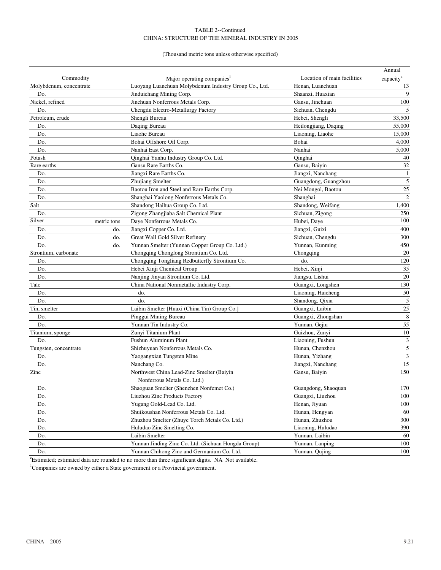#### TABLE 2--Continued CHINA: STRUCTURE OF THE MINERAL INDUSTRY IN 2005

#### (Thousand metric tons unless otherwise specified)

|                         |             |                                                       |                             | Annual                |
|-------------------------|-------------|-------------------------------------------------------|-----------------------------|-----------------------|
| Commodity               |             | Major operating companies <sup>1</sup>                | Location of main facilities | capacity <sup>e</sup> |
| Molybdenum, concentrate |             | Luoyang Luanchuan Molybdenum Industry Group Co., Ltd. | Henan, Luanchuan            | 13                    |
| Do.                     |             | Jinduichang Mining Corp.                              | Shaanxi, Huaxian            | 9                     |
| Nickel, refined         |             | Jinchuan Nonferrous Metals Corp.                      | Gansu, Jinchuan             | 100                   |
| Do.                     |             | Chengdu Electro-Metallurgy Factory                    | Sichuan, Chengdu            | 5                     |
| Petroleum, crude        |             | Shengli Bureau                                        | Hebei, Shengli              | 33,500                |
| Do.                     |             | Daqing Bureau                                         | Heilongjiang, Daqing        | 55,000                |
| Do.                     |             | Liaohe Bureau                                         | Liaoning, Liaohe            | 15,000                |
| Do.                     |             | Bohai Offshore Oil Corp.                              | Bohai                       | 4,000                 |
| Do.                     |             | Nanhai East Corp.                                     | Nanhai                      | 5,000                 |
| Potash                  |             | Qinghai Yanhu Industry Group Co. Ltd.                 | Oinghai                     | 40                    |
| Rare earths             |             | Gansu Rare Earths Co.                                 | Gansu, Baiyin               | 32                    |
| Do.                     |             | Jiangxi Rare Earths Co.                               | Jiangxi, Nanchang           | $\mathbf{1}$          |
| Do.                     |             | Zhujiang Smelter                                      | Guangdong, Guangzhou        | $\sqrt{5}$            |
| Do.                     |             | Baotou Iron and Steel and Rare Earths Corp.           | Nei Mongol, Baotou          | 25                    |
| Do.                     |             | Shanghai Yaolong Nonferrous Metals Co.                | Shanghai                    | $\sqrt{2}$            |
| Salt                    |             | Shandong Haihua Group Co. Ltd.                        | Shandong, Weifang           | 1,400                 |
| Do.                     |             | Zigong Zhangjiaba Salt Chemical Plant                 | Sichuan, Zigong             | 250                   |
| Silver                  | metric tons | Daye Nonferrous Metals Co.                            | Hubei, Daye                 | 100                   |
| Do.                     | do.         | Jiangxi Copper Co. Ltd.                               | Jiangxi, Guixi              | 400                   |
| Do.                     | do.         | Great Wall Gold Silver Refinery                       | Sichuan, Chengdu            | 300                   |
| Do.                     | do.         | Yunnan Smelter (Yunnan Copper Group Co. Ltd.)         | Yunnan, Kunming             | 450                   |
| Strontium, carbonate    |             | Chongqing Chonglong Strontium Co. Ltd.                | Chongqing                   | 20                    |
| Do.                     |             | Chongqing Tongliang Redbutterfly Strontium Co.        | do.                         | 120                   |
| Do.                     |             | Hebei Xinji Chemical Group                            | Hebei, Xinji                | 35                    |
| Do.                     |             | Nanjing Jinyan Strontium Co. Ltd.                     | Jiangsu, Lishui             | 20                    |
| Talc                    |             | China National Nonmetallic Industry Corp.             | Guangxi, Longshen           | 130                   |
| Do.                     |             | do.                                                   | Liaoning, Haicheng          | 50                    |
| Do.                     |             | do.                                                   | Shandong, Qixia             | 5                     |
| Tin, smelter            |             | Laibin Smelter [Huaxi (China Tin) Group Co.]          | Guangxi, Laibin             | 25                    |
| Do.                     |             | Pinggui Mining Bureau                                 | Guangxi, Zhongshan          | $\,8\,$               |
| Do.                     |             | Yunnan Tin Industry Co.                               | Yunnan, Gejiu               | 55                    |
| Titanium, sponge        |             | Zunyi Titanium Plant                                  | Guizhou, Zunyi              | 10                    |
| Do.                     |             | <b>Fushun Aluminum Plant</b>                          | Liaoning, Fushun            | 3                     |
| Tungsten, concentrate   |             | Shizhuyuan Nonferrous Metals Co.                      | Hunan, Chenzhou             | 5                     |
| Do.                     |             | Yaogangxian Tungsten Mine                             | Hunan, Yizhang              | 3                     |
| Do.                     |             | Nanchang Co.                                          | Jiangxi, Nanchang           | 15                    |
| Zinc                    |             | Northwest China Lead-Zinc Smelter (Baiyin             | Gansu, Baiyin               | 150                   |
|                         |             | Nonferrous Metals Co. Ltd.)                           |                             |                       |
| Do.                     |             | Shaoguan Smelter (Shenzhen Nonfemet Co.)              | Guangdong, Shaoquan         | 170                   |
| Do.                     |             | Liuzhou Zinc Products Factory                         | Guangxi, Liuzhou            | 100                   |
| Do.                     |             | Yugang Gold-Lead Co. Ltd.                             | Henan, Jiyuan               | 100                   |
| Do.                     |             | Shuikoushan Nonferrous Metals Co. Ltd.                | Hunan, Hengyan              | 60                    |
| Do.                     |             | Zhuzhou Smelter (Zhuye Torch Metals Co. Ltd.)         | Hunan, Zhuzhou              | 300                   |
| Do.                     |             | Huludao Zinc Smelting Co.                             | Liaoning, Huludao           | 390                   |
| Do.                     |             | Laibin Smelter                                        | Yunnan, Laibin              | 60                    |
| Do.                     |             | Yunnan Jinding Zinc Co. Ltd. (Sichuan Hongda Group)   | Yunnan, Lanping             | 100                   |
| Do.                     |             | Yunnan Chihong Zinc and Germanium Co. Ltd.            | Yunnan, Qujing              | 100                   |

<sup>e</sup> Estimated; estimated data are rounded to no more than three significant digits. NA Not available.

<sup>1</sup>Companies are owned by either a State government or a Provincial government.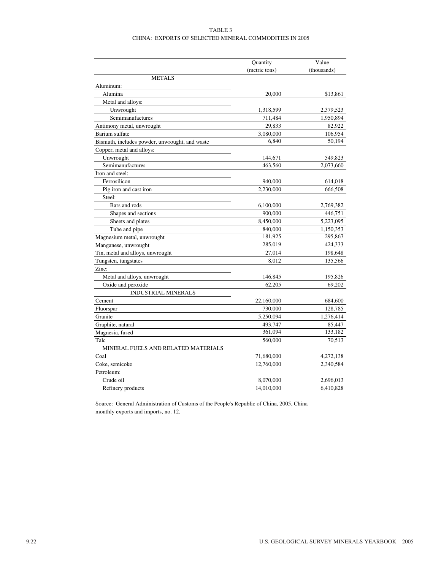#### TABLE 3 CHINA: EXPORTS OF SELECTED MINERAL COMMODITIES IN 2005

|                                                | Quantity      | Value       |
|------------------------------------------------|---------------|-------------|
|                                                | (metric tons) | (thousands) |
| <b>METALS</b>                                  |               |             |
| Aluminum:                                      |               |             |
| Alumina                                        | 20,000        | \$13,861    |
| Metal and alloys:                              |               |             |
| Unwrought                                      | 1,318,599     | 2,379,523   |
| Semimanufactures                               | 711,484       | 1,950,894   |
| Antimony metal, unwrought                      | 29,833        | 82,922      |
| Barium sulfate                                 | 3,080,000     | 106,954     |
| Bismuth, includes powder, unwrought, and waste | 6.840         | 50,194      |
| Copper, metal and alloys:                      |               |             |
| Unwrought                                      | 144,671       | 549,823     |
| Semimanufactures                               | 463,560       | 2,073,660   |
| Iron and steel:                                |               |             |
| Ferrosilicon                                   | 940,000       | 614,018     |
| Pig iron and cast iron                         | 2,230,000     | 666,508     |
| Steel:                                         |               |             |
| Bars and rods                                  | 6,100,000     | 2,769,382   |
| Shapes and sections                            | 900,000       | 446,751     |
| Sheets and plates                              | 8,450,000     | 5,223,095   |
| Tube and pipe                                  | 840,000       | 1,150,353   |
| Magnesium metal, unwrought                     | 181,925       | 295,867     |
| Manganese, unwrought                           | 285,019       | 424,333     |
| Tin, metal and alloys, unwrought               | 27,014        | 198,648     |
| Tungsten, tungstates                           | 8,012         | 135,566     |
| Zinc:                                          |               |             |
| Metal and alloys, unwrought                    | 146,845       | 195,826     |
| Oxide and peroxide                             | 62,205        | 69,202      |
| <b>INDUSTRIAL MINERALS</b>                     |               |             |
| Cement                                         | 22,160,000    | 684,600     |
| Fluorspar                                      | 730,000       | 128,785     |
| Granite                                        | 5,250,094     | 1,276,414   |
| Graphite, natural                              | 493,747       | 85,447      |
| Magnesia, fused                                | 361,094       | 133,182     |
| Talc                                           | 560,000       | 70,513      |
| MINERAL FUELS AND RELATED MATERIALS            |               |             |
| Coal                                           | 71,680,000    | 4,272,138   |
| Coke, semicoke                                 | 12,760,000    | 2,340,584   |
| Petroleum:                                     |               |             |
| Crude oil                                      | 8,070,000     | 2,696,013   |
| Refinery products                              | 14,010,000    | 6,410,828   |

Source: General Administration of Customs of the People's Republic of China, 2005, China monthly exports and imports, no. 12.